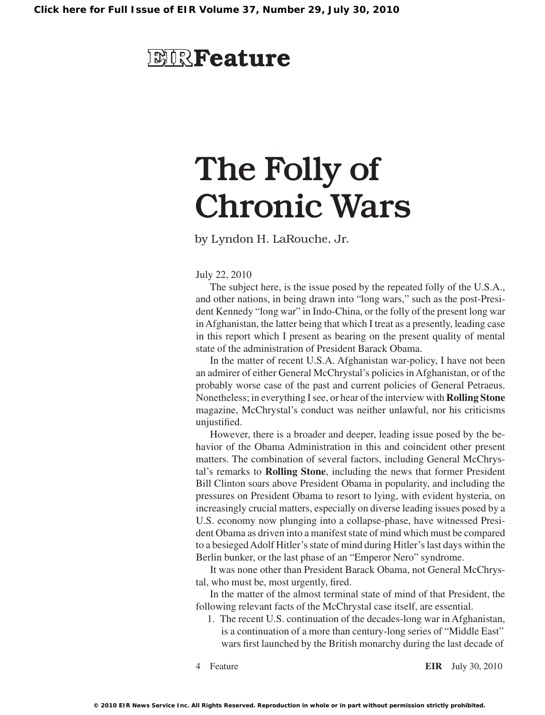## **EIR**Feature

# The Folly of Chronic Wars

by Lyndon H. LaRouche, Jr.

July 22, 2010

The subject here, is the issue posed by the repeated folly of the U.S.A., and other nations, in being drawn into "long wars," such as the post-President Kennedy "long war" in Indo-China, or the folly of the present long war inAfghanistan, the latter being that which I treat as a presently, leading case in this report which I present as bearing on the present quality of mental state of the administration of President Barack Obama.

In the matter of recent U.S.A. Afghanistan war-policy, I have not been an admirer of either General McChrystal's policies inAfghanistan, or of the probably worse case of the past and current policies of General Petraeus. Nonetheless; in everything I see, or hear of the interview with **Rolling Stone** magazine, McChrystal's conduct was neither unlawful, nor his criticisms unjustified.

However, there is a broader and deeper, leading issue posed by the behavior of the Obama Administration in this and coincident other present matters. The combination of several factors, including General McChrystal's remarks to **Rolling Stone**, including the news that former President Bill Clinton soars above President Obama in popularity, and including the pressures on President Obama to resort to lying, with evident hysteria, on increasingly crucial matters, especially on diverse leading issues posed by a U.S. economy now plunging into a collapse-phase, have witnessed President Obama as driven into a manifest state of mind which must be compared to a besiegedAdolf Hitler'sstate of mind during Hitler'slast days within the Berlin bunker, or the last phase of an "Emperor Nero" syndrome.

It was none other than President Barack Obama, not General McChrystal, who must be, most urgently, fired.

In the matter of the almost terminal state of mind of that President, the following relevant facts of the McChrystal case itself, are essential.

1. The recent U.S. continuation of the decades-long war in Afghanistan, is a continuation of a more than century-long series of "Middle East" wars first launched by the British monarchy during the last decade of

Feature **EIR** July 30, 2010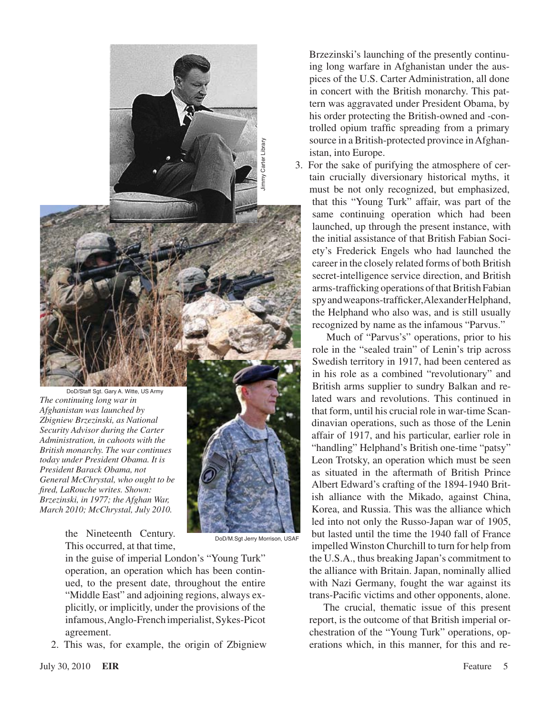

*The continuing long war in Afghanistan was launched by Zbigniew Brzezinski, as National Security Advisor during the Carter Administration, in cahoots with the British monarchy. The war continues today under President Obama. It is President Barack Obama, not General McChrystal, who ought to be fired, LaRouche writes. Shown: Brzezinski, in 1977; the Afghan War, March 2010; McChrystal, July 2010.*

> the Nineteenth Century. This occurred, at that time,

in the guise of imperial London's "Young Turk" operation, an operation which has been continued, to the present date, throughout the entire "Middle East" and adjoining regions, always explicitly, or implicitly, under the provisions of the infamous,Anglo-French imperialist,Sykes-Picot agreement.

2. This was, for example, the origin of Zbigniew

Brzezinski's launching of the presently continuing long warfare in Afghanistan under the auspices of the U.S. Carter Administration, all done in concert with the British monarchy. This pattern was aggravated under President Obama, by his order protecting the British-owned and -controlled opium traffic spreading from a primary source in a British-protected province in Afghanistan, into Europe.

3. For the sake of purifying the atmosphere of certain crucially diversionary historical myths, it must be not only recognized, but emphasized, that this "Young Turk" affair, was part of the same continuing operation which had been launched, up through the present instance, with the initial assistance of that British Fabian Society's Frederick Engels who had launched the career in the closely related forms of both British secret-intelligence service direction, and British arms-trafficking operations of that British Fabian spy and weapons-trafficker, Alexander Helphand, the Helphand who also was, and is still usually recognized by name as the infamous "Parvus."

Much of "Parvus's" operations, prior to his role in the "sealed train" of Lenin's trip across Swedish territory in 1917, had been centered as in his role as a combined "revolutionary" and British arms supplier to sundry Balkan and related wars and revolutions. This continued in that form, until his crucial role in war-time Scandinavian operations, such as those of the Lenin affair of 1917, and his particular, earlier role in "handling" Helphand's British one-time "patsy" Leon Trotsky, an operation which must be seen as situated in the aftermath of British Prince Albert Edward's crafting of the 1894-1940 British alliance with the Mikado, against China, Korea, and Russia. This was the alliance which led into not only the Russo-Japan war of 1905, but lasted until the time the 1940 fall of France impelled Winston Churchill to turn for help from the U.S.A., thus breaking Japan's commitment to the alliance with Britain. Japan, nominally allied with Nazi Germany, fought the war against its trans-Pacific victims and other opponents, alone.

The crucial, thematic issue of this present report, is the outcome of that British imperial orchestration of the "Young Turk" operations, operations which, in this manner, for this and re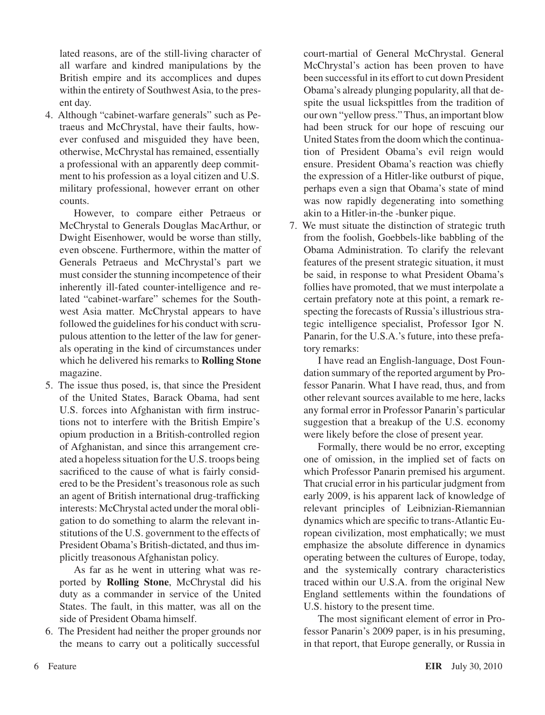lated reasons, are of the still-living character of all warfare and kindred manipulations by the British empire and its accomplices and dupes within the entirety of Southwest Asia, to the present day.

4. Although "cabinet-warfare generals" such as Petraeus and McChrystal, have their faults, however confused and misguided they have been, otherwise, McChrystal has remained, essentially a professional with an apparently deep commitment to his profession as a loyal citizen and U.S. military professional, however errant on other counts.

However, to compare either Petraeus or McChrystal to Generals Douglas MacArthur, or Dwight Eisenhower, would be worse than stilly, even obscene. Furthermore, within the matter of Generals Petraeus and McChrystal's part we must consider the stunning incompetence of their inherently ill-fated counter-intelligence and related "cabinet-warfare" schemes for the Southwest Asia matter. McChrystal appears to have followed the guidelines for his conduct with scrupulous attention to the letter of the law for generals operating in the kind of circumstances under which he delivered his remarks to **Rolling Stone** magazine.

5. The issue thus posed, is, that since the President of the United States, Barack Obama, had sent U.S. forces into Afghanistan with firm instructions not to interfere with the British Empire's opium production in a British-controlled region of Afghanistan, and since this arrangement created a hopeless situation for the U.S. troops being sacrificed to the cause of what is fairly considered to be the President's treasonous role as such an agent of British international drug-trafficking interests: McChrystal acted under the moral obligation to do something to alarm the relevant institutions of the U.S. government to the effects of President Obama's British-dictated, and thus implicitly treasonous Afghanistan policy.

As far as he went in uttering what was reported by **Rolling Stone**, McChrystal did his duty as a commander in service of the United States. The fault, in this matter, was all on the side of President Obama himself.

6. The President had neither the proper grounds nor the means to carry out a politically successful

court-martial of General McChrystal. General McChrystal's action has been proven to have been successful in its effort to cut down President Obama's already plunging popularity, all that despite the usual lickspittles from the tradition of our own "yellow press." Thus, an important blow had been struck for our hope of rescuing our United States from the doom which the continuation of President Obama's evil reign would ensure. President Obama's reaction was chiefly the expression of a Hitler-like outburst of pique, perhaps even a sign that Obama's state of mind was now rapidly degenerating into something akin to a Hitler-in-the -bunker pique.

7. We must situate the distinction of strategic truth from the foolish, Goebbels-like babbling of the Obama Administration. To clarify the relevant features of the present strategic situation, it must be said, in response to what President Obama's follies have promoted, that we must interpolate a certain prefatory note at this point, a remark respecting the forecasts of Russia's illustrious strategic intelligence specialist, Professor Igor N. Panarin, for the U.S.A.'s future, into these prefatory remarks:

I have read an English-language, Dost Foundation summary of the reported argument by Professor Panarin. What I have read, thus, and from other relevant sources available to me here, lacks any formal error in Professor Panarin's particular suggestion that a breakup of the U.S. economy were likely before the close of present year.

Formally, there would be no error, excepting one of omission, in the implied set of facts on which Professor Panarin premised his argument. That crucial error in his particular judgment from early 2009, is his apparent lack of knowledge of relevant principles of Leibnizian-Riemannian dynamics which are specific to trans-Atlantic European civilization, most emphatically; we must emphasize the absolute difference in dynamics operating between the cultures of Europe, today, and the systemically contrary characteristics traced within our U.S.A. from the original New England settlements within the foundations of U.S. history to the present time.

The most significant element of error in Professor Panarin's 2009 paper, is in his presuming, in that report, that Europe generally, or Russia in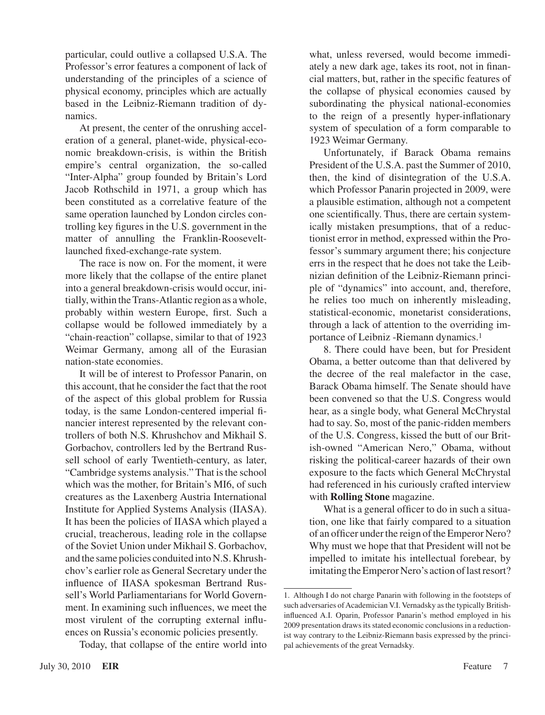particular, could outlive a collapsed U.S.A. The Professor's error features a component of lack of understanding of the principles of a science of physical economy, principles which are actually based in the Leibniz-Riemann tradition of dynamics.

At present, the center of the onrushing acceleration of a general, planet-wide, physical-economic breakdown-crisis, is within the British empire's central organization, the so-called "Inter-Alpha" group founded by Britain's Lord Jacob Rothschild in 1971, a group which has been constituted as a correlative feature of the same operation launched by London circles controlling key figures in the U.S. government in the matter of annulling the Franklin-Rooseveltlaunched fixed-exchange-rate system.

The race is now on. For the moment, it were more likely that the collapse of the entire planet into a general breakdown-crisis would occur, initially, within the Trans-Atlantic region as a whole, probably within western Europe, first. Such a collapse would be followed immediately by a "chain-reaction" collapse, similar to that of 1923 Weimar Germany, among all of the Eurasian nation-state economies.

It will be of interest to Professor Panarin, on this account, that he consider the fact that the root of the aspect of this global problem for Russia today, is the same London-centered imperial financier interest represented by the relevant controllers of both N.S. Khrushchov and Mikhail S. Gorbachov, controllers led by the Bertrand Russell school of early Twentieth-century, as later, "Cambridge systems analysis." That is the school which was the mother, for Britain's MI6, of such creatures as the Laxenberg Austria International Institute for Applied Systems Analysis (IIASA). It has been the policies of IIASA which played a crucial, treacherous, leading role in the collapse of the Soviet Union under Mikhail S. Gorbachov, and the same policies conduited into N.S. Khrushchov's earlier role as General Secretary under the influence of IIASA spokesman Bertrand Russell's World Parliamentarians for World Government. In examining such influences, we meet the most virulent of the corrupting external influences on Russia's economic policies presently.

Today, that collapse of the entire world into

what, unless reversed, would become immediately a new dark age, takes its root, not in financial matters, but, rather in the specific features of the collapse of physical economies caused by subordinating the physical national-economies to the reign of a presently hyper-inflationary system of speculation of a form comparable to 1923 Weimar Germany.

Unfortunately, if Barack Obama remains President of the U.S.A. past the Summer of 2010, then, the kind of disintegration of the U.S.A. which Professor Panarin projected in 2009, were a plausible estimation, although not a competent one scientifically. Thus, there are certain systemically mistaken presumptions, that of a reductionist error in method, expressed within the Professor's summary argument there; his conjecture errs in the respect that he does not take the Leibnizian definition of the Leibniz-Riemann principle of "dynamics" into account, and, therefore, he relies too much on inherently misleading, statistical-economic, monetarist considerations, through a lack of attention to the overriding importance of Leibniz -Riemann dynamics.1

8. There could have been, but for President Obama, a better outcome than that delivered by the decree of the real malefactor in the case, Barack Obama himself. The Senate should have been convened so that the U.S. Congress would hear, as a single body, what General McChrystal had to say. So, most of the panic-ridden members of the U.S. Congress, kissed the butt of our British-owned "American Nero," Obama, without risking the political-career hazards of their own exposure to the facts which General McChrystal had referenced in his curiously crafted interview with **Rolling Stone** magazine.

What is a general officer to do in such a situation, one like that fairly compared to a situation of an officer under the reign of the Emperor Nero? Why must we hope that that President will not be impelled to imitate his intellectual forebear, by imitating the Emperor Nero's action of last resort?

<sup>1.</sup> Although I do not charge Panarin with following in the footsteps of such adversaries of Academician V.I. Vernadsky as the typically Britishinfluenced A.I. Oparin, Professor Panarin's method employed in his 2009 presentation draws its stated economic conclusions in a reductionist way contrary to the Leibniz-Riemann basis expressed by the principal achievements of the great Vernadsky.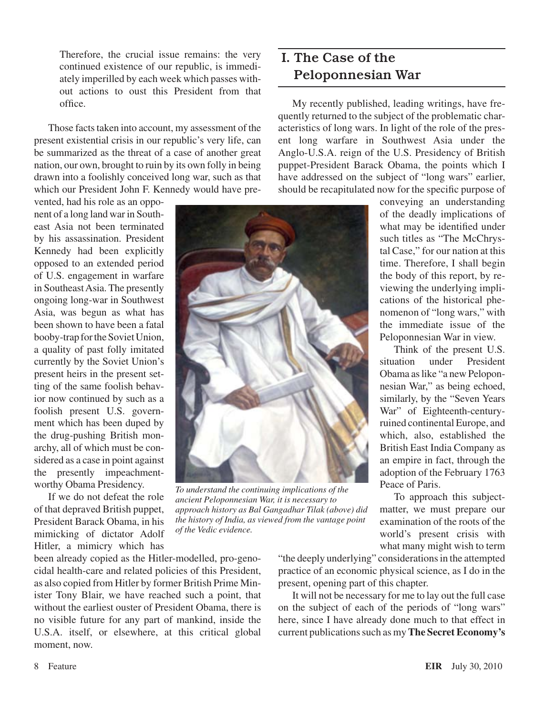Therefore, the crucial issue remains: the very continued existence of our republic, is immediately imperilled by each week which passes without actions to oust this President from that office.

Those facts taken into account, my assessment of the present existential crisis in our republic's very life, can be summarized as the threat of a case of another great nation, our own, brought to ruin by its own folly in being drawn into a foolishly conceived long war, such as that which our President John F. Kennedy would have pre-

vented, had his role as an opponent of a long land warin Southeast Asia not been terminated by his assassination. President Kennedy had been explicitly opposed to an extended period of U.S. engagement in warfare in Southeast Asia. The presently ongoing long-war in Southwest Asia, was begun as what has been shown to have been a fatal booby-trap for the Soviet Union, a quality of past folly imitated currently by the Soviet Union's present heirs in the present setting of the same foolish behavior now continued by such as a foolish present U.S. government which has been duped by the drug-pushing British monarchy, all of which must be considered as a case in point against the presently impeachmentworthy Obama Presidency.

If we do not defeat the role of that depraved British puppet, President Barack Obama, in his mimicking of dictator Adolf Hitler, a mimicry which has

been already copied as the Hitler-modelled, pro-genocidal health-care and related policies of this President, as also copied from Hitler by former British Prime Minister Tony Blair, we have reached such a point, that without the earliest ouster of President Obama, there is no visible future for any part of mankind, inside the U.S.A. itself, or elsewhere, at this critical global moment, now.

## I. The Case of the Peloponnesian War

My recently published, leading writings, have frequently returned to the subject of the problematic characteristics of long wars. In light of the role of the present long warfare in Southwest Asia under the Anglo-U.S.A. reign of the U.S. Presidency of British puppet-President Barack Obama, the points which I have addressed on the subject of "long wars" earlier, should be recapitulated now for the specific purpose of

> conveying an understanding of the deadly implications of what may be identified under such titles as "The McChrystal Case," for our nation at this time. Therefore, I shall begin the body of this report, by reviewing the underlying implications of the historical phenomenon of "long wars," with the immediate issue of the Peloponnesian War in view. Think of the present U.S. situation under President Obama aslike "a new Peloponnesian War," as being echoed, similarly, by the "Seven Years War" of Eighteenth-centuryruined continental Europe, and which, also, established the British East India Company as an empire in fact, through the adoption of the February 1763



*To understand the continuing implications of the ancient Peloponnesian War, it is necessary to approach history as Bal Gangadhar Tilak (above) did the history of India, as viewed from the vantage point of the Vedic evidence.*

"the deeply underlying" considerations in the attempted practice of an economic physical science, as I do in the present, opening part of this chapter.

Peace of Paris.

To approach this subjectmatter, we must prepare our examination of the roots of the world's present crisis with what many might wish to term

It will not be necessary for me to lay out the full case on the subject of each of the periods of "long wars" here, since I have already done much to that effect in current publications such as my **The Secret Economy's**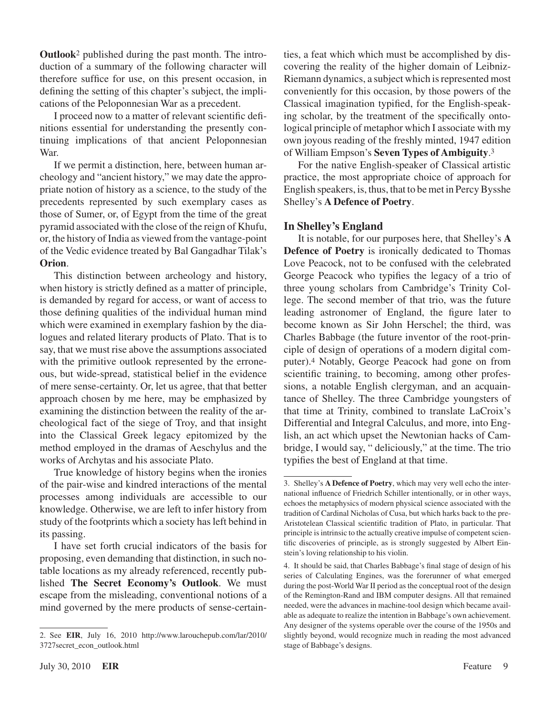**Outlook**<sup>2</sup> published during the past month. The introduction of a summary of the following character will therefore suffice for use, on this present occasion, in defining the setting of this chapter's subject, the implications of the Peloponnesian War as a precedent.

I proceed now to a matter of relevant scientific definitions essential for understanding the presently continuing implications of that ancient Peloponnesian War.

If we permit a distinction, here, between human archeology and "ancient history," we may date the appropriate notion of history as a science, to the study of the precedents represented by such exemplary cases as those of Sumer, or, of Egypt from the time of the great pyramid associated with the close of the reign of Khufu, or, the history of India as viewed from the vantage-point of the Vedic evidence treated by Bal Gangadhar Tilak's **Orion**.

This distinction between archeology and history, when history is strictly defined as a matter of principle, is demanded by regard for access, or want of access to those defining qualities of the individual human mind which were examined in exemplary fashion by the dialogues and related literary products of Plato. That is to say, that we must rise above the assumptions associated with the primitive outlook represented by the erroneous, but wide-spread, statistical belief in the evidence of mere sense-certainty. Or, let us agree, that that better approach chosen by me here, may be emphasized by examining the distinction between the reality of the archeological fact of the siege of Troy, and that insight into the Classical Greek legacy epitomized by the method employed in the dramas of Aeschylus and the works of Archytas and his associate Plato.

True knowledge of history begins when the ironies of the pair-wise and kindred interactions of the mental processes among individuals are accessible to our knowledge. Otherwise, we are left to infer history from study of the footprints which a society has left behind in its passing.

I have set forth crucial indicators of the basis for proposing, even demanding that distinction, in such notable locations as my already referenced, recently published **The Secret Economy's Outlook**. We must escape from the misleading, conventional notions of a mind governed by the mere products of sense-certainties, a feat which which must be accomplished by discovering the reality of the higher domain of Leibniz-Riemann dynamics, a subject which is represented most conveniently for this occasion, by those powers of the Classical imagination typified, for the English-speaking scholar, by the treatment of the specifically ontological principle of metaphor which I associate with my own joyous reading of the freshly minted, 1947 edition of William Empson's **Seven Types of Ambiguity**.3

For the native English-speaker of Classical artistic practice, the most appropriate choice of approach for English speakers, is, thus, that to be met in Percy Bysshe Shelley's **A Defence of Poetry**.

#### **In Shelley's England**

It is notable, for our purposes here, that Shelley's **A Defence of Poetry** is ironically dedicated to Thomas Love Peacock, not to be confused with the celebrated George Peacock who typifies the legacy of a trio of three young scholars from Cambridge's Trinity College. The second member of that trio, was the future leading astronomer of England, the figure later to become known as Sir John Herschel; the third, was Charles Babbage (the future inventor of the root-principle of design of operations of a modern digital computer).<sup>4</sup> Notably, George Peacock had gone on from scientific training, to becoming, among other professions, a notable English clergyman, and an acquaintance of Shelley. The three Cambridge youngsters of that time at Trinity, combined to translate LaCroix's Differential and Integral Calculus, and more, into English, an act which upset the Newtonian hacks of Cambridge, I would say, " deliciously," at the time. The trio typifies the best of England at that time.

<sup>2.</sup> See **EIR**, July 16, 2010 [http://www.larouchepub.com/lar/2010/](http://www.larouchepub.com/lar/2010/3727secret_econ_outlook.html) [3727secret\\_econ\\_outlook.html](http://www.larouchepub.com/lar/2010/3727secret_econ_outlook.html)

<sup>3.</sup> Shelley's **A Defence of Poetry**, which may very well echo the international influence of Friedrich Schiller intentionally, or in other ways, echoes the metaphysics of modern physical science associated with the tradition of Cardinal Nicholas of Cusa, but which harks back to the pre-Aristotelean Classical scientific tradition of Plato, in particular. That principle is intrinsic to the actually creative impulse of competent scientific discoveries of principle, as is strongly suggested by Albert Einstein's loving relationship to his violin.

<sup>.</sup> It should be said, that Charles Babbage's final stage of design of his series of Calculating Engines, was the forerunner of what emerged during the post-World War II period as the conceptual root of the design of the Remington-Rand and IBM computer designs. All that remained needed, were the advances in machine-tool design which became available as adequate to realize the intention in Babbage's own achievement. Any designer of the systems operable over the course of the 1950s and slightly beyond, would recognize much in reading the most advanced stage of Babbage's designs.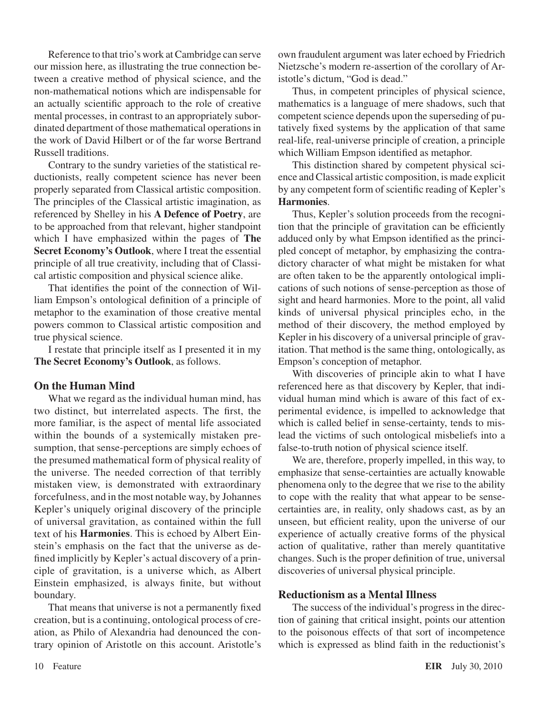Reference to that trio's work at Cambridge can serve our mission here, as illustrating the true connection between a creative method of physical science, and the non-mathematical notions which are indispensable for an actually scientific approach to the role of creative mental processes, in contrast to an appropriately subordinated department of those mathematical operations in the work of David Hilbert or of the far worse Bertrand Russell traditions.

Contrary to the sundry varieties of the statistical reductionists, really competent science has never been properly separated from Classical artistic composition. The principles of the Classical artistic imagination, as referenced by Shelley in his **A Defence of Poetry**, are to be approached from that relevant, higher standpoint which I have emphasized within the pages of **The Secret Economy's Outlook**, where I treat the essential principle of all true creativity, including that of Classical artistic composition and physical science alike.

That identifies the point of the connection of William Empson's ontological definition of a principle of metaphor to the examination of those creative mental powers common to Classical artistic composition and true physical science.

I restate that principle itself as I presented it in my **The Secret Economy's Outlook**, as follows.

#### **On the Human Mind**

What we regard as the individual human mind, has two distinct, but interrelated aspects. The first, the more familiar, is the aspect of mental life associated within the bounds of a systemically mistaken presumption, that sense-perceptions are simply echoes of the presumed mathematical form of physical reality of the universe. The needed correction of that terribly mistaken view, is demonstrated with extraordinary forcefulness, and in the most notable way, by Johannes Kepler's uniquely original discovery of the principle of universal gravitation, as contained within the full text of his **Harmonies**. This is echoed by Albert Einstein's emphasis on the fact that the universe as defined implicitly by Kepler's actual discovery of a principle of gravitation, is a universe which, as Albert Einstein emphasized, is always finite, but without boundary.

That means that universe is not a permanently fixed creation, but is a continuing, ontological process of creation, as Philo of Alexandria had denounced the contrary opinion of Aristotle on this account. Aristotle's own fraudulent argument was later echoed by Friedrich Nietzsche's modern re-assertion of the corollary of Aristotle's dictum, "God is dead."

Thus, in competent principles of physical science, mathematics is a language of mere shadows, such that competent science depends upon the superseding of putatively fixed systems by the application of that same real-life, real-universe principle of creation, a principle which William Empson identified as metaphor.

This distinction shared by competent physical science and Classical artistic composition, is made explicit by any competent form of scientific reading of Kepler's **Harmonies**.

Thus, Kepler's solution proceeds from the recognition that the principle of gravitation can be efficiently adduced only by what Empson identified as the principled concept of metaphor, by emphasizing the contradictory character of what might be mistaken for what are often taken to be the apparently ontological implications of such notions of sense-perception as those of sight and heard harmonies. More to the point, all valid kinds of universal physical principles echo, in the method of their discovery, the method employed by Kepler in his discovery of a universal principle of gravitation. That method is the same thing, ontologically, as Empson's conception of metaphor.

With discoveries of principle akin to what I have referenced here as that discovery by Kepler, that individual human mind which is aware of this fact of experimental evidence, is impelled to acknowledge that which is called belief in sense-certainty, tends to mislead the victims of such ontological misbeliefs into a false-to-truth notion of physical science itself.

We are, therefore, properly impelled, in this way, to emphasize that sense-certainties are actually knowable phenomena only to the degree that we rise to the ability to cope with the reality that what appear to be sensecertainties are, in reality, only shadows cast, as by an unseen, but efficient reality, upon the universe of our experience of actually creative forms of the physical action of qualitative, rather than merely quantitative changes. Such is the proper definition of true, universal discoveries of universal physical principle.

#### **Reductionism as a Mental Illness**

The success of the individual's progress in the direction of gaining that critical insight, points our attention to the poisonous effects of that sort of incompetence which is expressed as blind faith in the reductionist's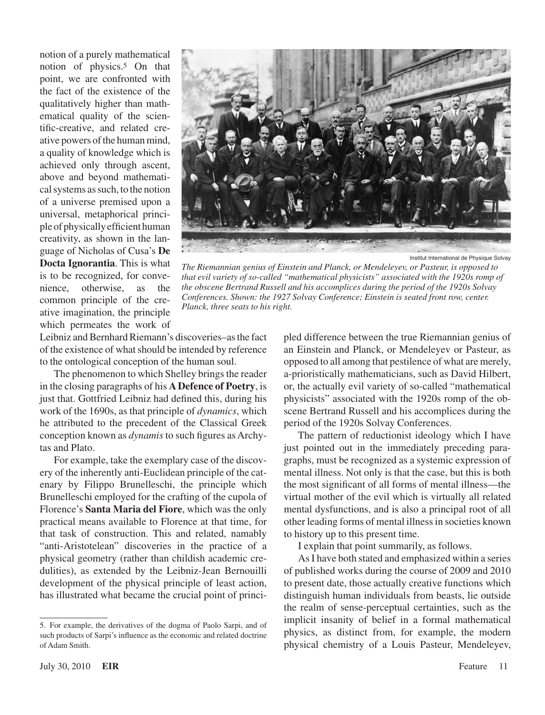notion of a purely mathematical notion of physics.<sup>5</sup> On that point, we are confronted with the fact of the existence of the qualitatively higher than mathematical quality of the scientific-creative, and related creative powers of the human mind, a quality of knowledge which is achieved only through ascent, above and beyond mathematical systems as such, to the notion of a universe premised upon a universal, metaphorical principle of physically efficient human creativity, as shown in the language of Nicholas of Cusa's **De Docta Ignorantia**. This is what is to be recognized, for convenience, otherwise, as the common principle of the creative imagination, the principle which permeates the work of



Institut International de Physique Solvay

*The Riemannian genius of Einstein and Planck, or Mendeleyev, or Pasteur, is opposed to that evil variety of so-called "mathematical physicists" associated with the 1920s romp of the obscene Bertrand Russell and his accomplices during the period of the 1920s Solvay Conferences. Shown: the 1927 Solvay Conference; Einstein is seated front row, center. Planck, three seats to his right.*

Leibniz and Bernhard Riemann's discoveries–as the fact of the existence of what should be intended by reference to the ontological conception of the human soul.

The phenomenon to which Shelley brings the reader in the closing paragraphs of his **A Defence of Poetry**, is just that. Gottfried Leibniz had defined this, during his work of the 1690s, as that principle of *dynamics*, which he attributed to the precedent of the Classical Greek conception known as *dynamis* to such figures as Archytas and Plato.

For example, take the exemplary case of the discovery of the inherently anti-Euclidean principle of the catenary by Filippo Brunelleschi, the principle which Brunelleschi employed for the crafting of the cupola of Florence's **Santa Maria del Fiore**, which was the only practical means available to Florence at that time, for that task of construction. This and related, namably "anti-Aristotelean" discoveries in the practice of a physical geometry (rather than childish academic credulities), as extended by the Leibniz-Jean Bernouilli development of the physical principle of least action, has illustrated what became the crucial point of principled difference between the true Riemannian genius of an Einstein and Planck, or Mendeleyev or Pasteur, as opposed to all among that pestilence of what are merely, a-prioristically mathematicians, such as David Hilbert, or, the actually evil variety of so-called "mathematical physicists" associated with the 1920s romp of the obscene Bertrand Russell and his accomplices during the period of the 1920s Solvay Conferences.

The pattern of reductionist ideology which I have just pointed out in the immediately preceding paragraphs, must be recognized as a systemic expression of mental illness. Not only is that the case, but this is both the most significant of all forms of mental illness—the virtual mother of the evil which is virtually all related mental dysfunctions, and is also a principal root of all other leading forms of mental illnessin societies known to history up to this present time.

I explain that point summarily, as follows.

AsI have both stated and emphasized within a series of published works during the course of 2009 and 2010 to present date, those actually creative functions which distinguish human individuals from beasts, lie outside the realm of sense-perceptual certainties, such as the implicit insanity of belief in a formal mathematical physics, as distinct from, for example, the modern physical chemistry of a Louis Pasteur, Mendeleyev,

<sup>.</sup> For example, the derivatives of the dogma of Paolo Sarpi, and of such products of Sarpi's influence as the economic and related doctrine of Adam Smith.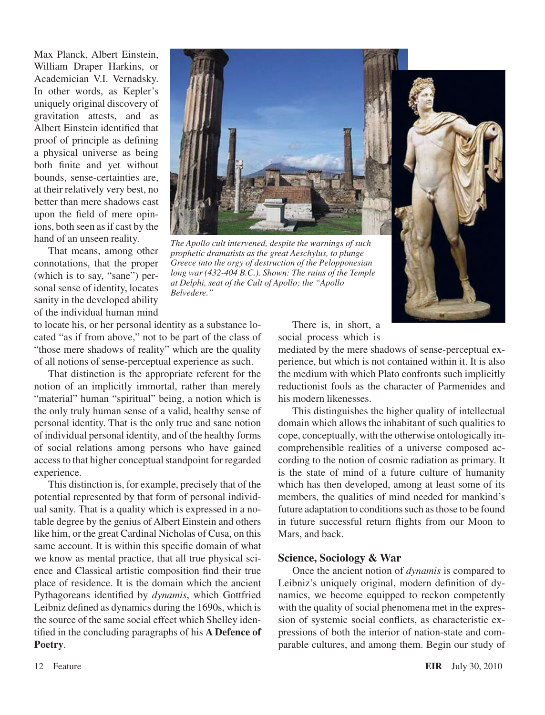Max Planck, Albert Einstein, William Draper Harkins, or Academician V.I. Vernadsky. In other words, as Kepler's uniquely original discovery of gravitation attests, and as Albert Einstein identified that proof of principle as defining a physical universe as being both finite and yet without bounds, sense-certainties are, at their relatively very best, no better than mere shadows cast upon the field of mere opinions, both seen as if cast by the hand of an unseen reality.

That means, among other connotations, that the proper (which is to say, "sane") personal sense of identity, locates sanity in the developed ability of the individual human mind



*The Apollo cult intervened, despite the warnings of such prophetic dramatists as the great Aeschylus, to plunge Greece into the orgy of destruction of the Pelopponesian long war (432-404 B.C.). Shown: The ruins of the Temple at Delphi, seat of the Cult of Apollo; the "Apollo Belvedere."*

to locate his, or her personal identity as a substance located "as if from above," not to be part of the class of "those mere shadows of reality" which are the quality of all notions of sense-perceptual experience as such.

That distinction is the appropriate referent for the notion of an implicitly immortal, rather than merely "material" human "spiritual" being, a notion which is the only truly human sense of a valid, healthy sense of personal identity. That is the only true and sane notion of individual personal identity, and of the healthy forms of social relations among persons who have gained access to that higher conceptual standpoint for regarded experience.

This distinction is, for example, precisely that of the potential represented by that form of personal individual sanity. That is a quality which is expressed in a notable degree by the genius of Albert Einstein and others like him, or the great Cardinal Nicholas of Cusa, on this same account. It is within this specific domain of what we know as mental practice, that all true physical science and Classical artistic composition find their true place of residence. It is the domain which the ancient Pythagoreans identified by *dynamis*, which Gottfried Leibniz defined as dynamics during the 1690s, which is the source of the same social effect which Shelley identified in the concluding paragraphs of his **A Defence of Poetry**.

There is, in short, a social process which is

mediated by the mere shadows of sense-perceptual experience, but which is not contained within it. It is also the medium with which Plato confronts such implicitly reductionist fools as the character of Parmenides and his modern likenesses.

This distinguishes the higher quality of intellectual domain which allows the inhabitant of such qualities to cope, conceptually, with the otherwise ontologically incomprehensible realities of a universe composed according to the notion of cosmic radiation as primary. It is the state of mind of a future culture of humanity which has then developed, among at least some of its members, the qualities of mind needed for mankind's future adaptation to conditions such as those to be found in future successful return flights from our Moon to Mars, and back.

#### **Science, Sociology & War**

Once the ancient notion of *dynamis* is compared to Leibniz's uniquely original, modern definition of dynamics, we become equipped to reckon competently with the quality of social phenomena met in the expression of systemic social conflicts, as characteristic expressions of both the interior of nation-state and comparable cultures, and among them. Begin our study of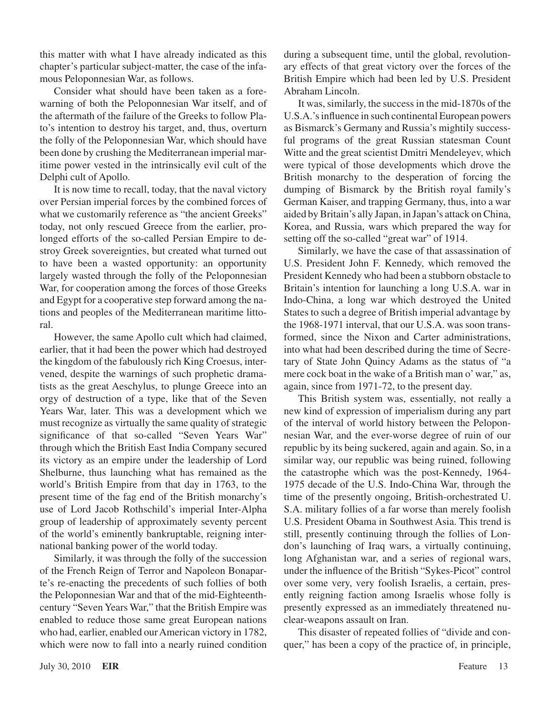this matter with what I have already indicated as this chapter's particular subject-matter, the case of the infamous Peloponnesian War, as follows.

Consider what should have been taken as a forewarning of both the Peloponnesian War itself, and of the aftermath of the failure of the Greeks to follow Plato's intention to destroy his target, and, thus, overturn the folly of the Peloponnesian War, which should have been done by crushing the Mediterranean imperial maritime power vested in the intrinsically evil cult of the Delphi cult of Apollo.

It is now time to recall, today, that the naval victory over Persian imperial forces by the combined forces of what we customarily reference as "the ancient Greeks" today, not only rescued Greece from the earlier, prolonged efforts of the so-called Persian Empire to destroy Greek sovereignties, but created what turned out to have been a wasted opportunity: an opportunity largely wasted through the folly of the Peloponnesian War, for cooperation among the forces of those Greeks and Egypt for a cooperative step forward among the nations and peoples of the Mediterranean maritime littoral.

However, the same Apollo cult which had claimed, earlier, that it had been the power which had destroyed the kingdom of the fabulously rich King Croesus, intervened, despite the warnings of such prophetic dramatists as the great Aeschylus, to plunge Greece into an orgy of destruction of a type, like that of the Seven Years War, later. This was a development which we must recognize as virtually the same quality of strategic significance of that so-called "Seven Years War" through which the British East India Company secured its victory as an empire under the leadership of Lord Shelburne, thus launching what has remained as the world's British Empire from that day in 1763, to the present time of the fag end of the British monarchy's use of Lord Jacob Rothschild's imperial Inter-Alpha group of leadership of approximately seventy percent of the world's eminently bankruptable, reigning international banking power of the world today.

Similarly, it was through the folly of the succession of the French Reign of Terror and Napoleon Bonaparte's re-enacting the precedents of such follies of both the Peloponnesian War and that of the mid-Eighteenthcentury "Seven Years War," that the British Empire was enabled to reduce those same great European nations who had, earlier, enabled our American victory in 1782, which were now to fall into a nearly ruined condition

during a subsequent time, until the global, revolutionary effects of that great victory over the forces of the British Empire which had been led by U.S. President Abraham Lincoln.

It was, similarly, the success in the mid-1870s of the U.S.A.'sinfluence in such continental European powers as Bismarck's Germany and Russia's mightily successful programs of the great Russian statesman Count Witte and the great scientist Dmitri Mendeleyev, which were typical of those developments which drove the British monarchy to the desperation of forcing the dumping of Bismarck by the British royal family's German Kaiser, and trapping Germany, thus, into a war aided byBritain's ally Japan, in Japan's attack onChina, Korea, and Russia, wars which prepared the way for setting off the so-called "great war" of 1914.

Similarly, we have the case of that assassination of U.S. President John F. Kennedy, which removed the President Kennedy who had been a stubborn obstacle to Britain's intention for launching a long U.S.A. war in Indo-China, a long war which destroyed the United States to such a degree of British imperial advantage by the 1968-1971 interval, that our U.S.A. was soon transformed, since the Nixon and Carter administrations, into what had been described during the time of Secretary of State John Quincy Adams as the status of "a mere cock boat in the wake of a British man o'war," as, again, since from 1971-72, to the present day.

This British system was, essentially, not really a new kind of expression of imperialism during any part of the interval of world history between the Peloponnesian War, and the ever-worse degree of ruin of our republic by its being suckered, again and again. So, in a similar way, our republic was being ruined, following the catastrophe which was the post-Kennedy, 1964- 1975 decade of the U.S. Indo-China War, through the time of the presently ongoing, British-orchestrated U. S.A. military follies of a far worse than merely foolish U.S. President Obama in Southwest Asia. This trend is still, presently continuing through the follies of London's launching of Iraq wars, a virtually continuing, long Afghanistan war, and a series of regional wars, under the influence of the British "Sykes-Picot" control over some very, very foolish Israelis, a certain, presently reigning faction among Israelis whose folly is presently expressed as an immediately threatened nuclear-weapons assault on Iran.

This disaster of repeated follies of "divide and conquer," has been a copy of the practice of, in principle,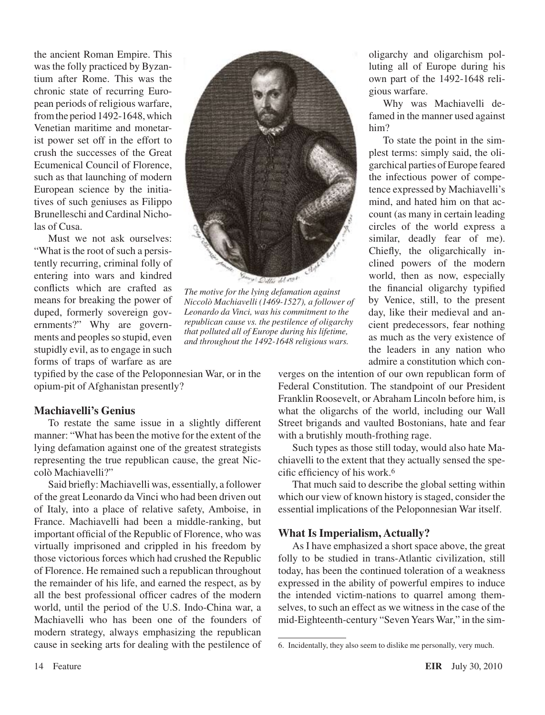the ancient Roman Empire. This was the folly practiced by Byzantium after Rome. This was the chronic state of recurring European periods of religious warfare, fromthe period 1492-1648,which Venetian maritime and monetarist power set off in the effort to crush the successes of the Great Ecumenical Council of Florence, such as that launching of modern European science by the initiatives of such geniuses as Filippo Brunelleschi and Cardinal Nicholas of Cusa.

Must we not ask ourselves: "What is the root of such a persistently recurring, criminal folly of entering into wars and kindred conflicts which are crafted as means for breaking the power of duped, formerly sovereign governments?" Why are governments and peoples so stupid, even stupidly evil, as to engage in such forms of traps of warfare as are  $41.194$ 

*The motive for the lying defamation against Niccolò Machiavelli (1469-1527), a follower of Leonardo da Vinci, was his commitment to the republican cause vs. the pestilence of oligarchy that polluted all of Europe during his lifetime, and throughout the 1492-1648 religious wars.*

typified by the case of the Peloponnesian War, or in the opium-pit of Afghanistan presently?

#### **Machiavelli's Genius**

To restate the same issue in a slightly different manner: "What has been the motive for the extent of the lying defamation against one of the greatest strategists representing the true republican cause, the great Niccolò Machiavelli?"

Said briefly: Machiavelli was, essentially, a follower of the great Leonardo da Vinci who had been driven out of Italy, into a place of relative safety, Amboise, in France. Machiavelli had been a middle-ranking, but important official of the Republic of Florence, who was virtually imprisoned and crippled in his freedom by those victorious forces which had crushed the Republic of Florence. He remained such a republican throughout the remainder of his life, and earned the respect, as by all the best professional officer cadres of the modern world, until the period of the U.S. Indo-China war, a Machiavelli who has been one of the founders of modern strategy, always emphasizing the republican cause in seeking arts for dealing with the pestilence of oligarchy and oligarchism polluting all of Europe during his own part of the 1492-1648 religious warfare.

Why was Machiavelli defamed in the manner used against him?

To state the point in the simplest terms: simply said, the oligarchical parties ofEurope feared the infectious power of competence expressed by Machiavelli's mind, and hated him on that account (as many in certain leading circles of the world express a similar, deadly fear of me). Chiefly, the oligarchically inclined powers of the modern world, then as now, especially the financial oligarchy typified by Venice, still, to the present day, like their medieval and ancient predecessors, fear nothing as much as the very existence of the leaders in any nation who admire a constitution which con-

verges on the intention of our own republican form of Federal Constitution. The standpoint of our President Franklin Roosevelt, or Abraham Lincoln before him, is what the oligarchs of the world, including our Wall Street brigands and vaulted Bostonians, hate and fear with a brutishly mouth-frothing rage.

Such types as those still today, would also hate Machiavelli to the extent that they actually sensed the specific efficiency of his work.

That much said to describe the global setting within which our view of known history is staged, consider the essential implications of the Peloponnesian War itself.

#### **What Is Imperialism, Actually?**

As I have emphasized a short space above, the great folly to be studied in trans-Atlantic civilization, still today, has been the continued toleration of a weakness expressed in the ability of powerful empires to induce the intended victim-nations to quarrel among themselves, to such an effect as we witness in the case of the mid-Eighteenth-century "Seven Years War," in the sim-

<sup>.</sup> Incidentally, they also seem to dislike me personally, very much.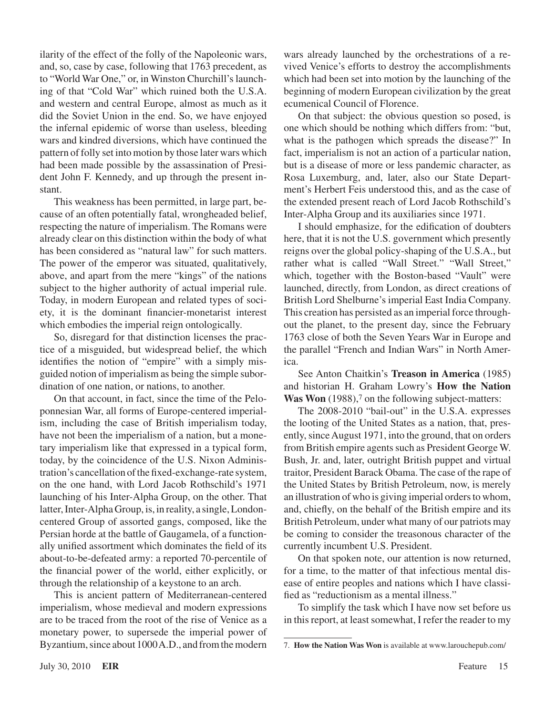ilarity of the effect of the folly of the Napoleonic wars, and, so, case by case, following that 1763 precedent, as to "World War One," or, in Winston Churchill's launching of that "Cold War" which ruined both the U.S.A. and western and central Europe, almost as much as it did the Soviet Union in the end. So, we have enjoyed the infernal epidemic of worse than useless, bleeding wars and kindred diversions, which have continued the pattern of folly set into motion by those later wars which had been made possible by the assassination of President John F. Kennedy, and up through the present instant.

This weakness has been permitted, in large part, because of an often potentially fatal, wrongheaded belief, respecting the nature of imperialism. The Romans were already clear on this distinction within the body of what has been considered as "natural law" for such matters. The power of the emperor was situated, qualitatively, above, and apart from the mere "kings" of the nations subject to the higher authority of actual imperial rule. Today, in modern European and related types of society, it is the dominant financier-monetarist interest which embodies the imperial reign ontologically.

So, disregard for that distinction licenses the practice of a misguided, but widespread belief, the which identifies the notion of "empire" with a simply misguided notion of imperialism as being the simple subordination of one nation, or nations, to another.

On that account, in fact, since the time of the Peloponnesian War, all forms of Europe-centered imperialism, including the case of British imperialism today, have not been the imperialism of a nation, but a monetary imperialism like that expressed in a typical form, today, by the coincidence of the U.S. Nixon Administration's cancellation of the fixed-exchange-rate system, on the one hand, with Lord Jacob Rothschild's 1971 launching of his Inter-Alpha Group, on the other. That latter, Inter-Alpha Group, is, in reality, a single, Londoncentered Group of assorted gangs, composed, like the Persian horde at the battle of Gaugamela, of a functionally unified assortment which dominates the field of its about-to-be-defeated army: a reported 70-percentile of the financial power of the world, either explicitly, or through the relationship of a keystone to an arch.

This is ancient pattern of Mediterranean-centered imperialism, whose medieval and modern expressions are to be traced from the root of the rise of Venice as a monetary power, to supersede the imperial power of Byzantium, since about 1000 A.D., and from the modern

wars already launched by the orchestrations of a revived Venice's efforts to destroy the accomplishments which had been set into motion by the launching of the beginning of modern European civilization by the great ecumenical Council of Florence.

On that subject: the obvious question so posed, is one which should be nothing which differs from: "but, what is the pathogen which spreads the disease?" In fact, imperialism is not an action of a particular nation, but is a disease of more or less pandemic character, as Rosa Luxemburg, and, later, also our State Department's Herbert Feis understood this, and as the case of the extended present reach of Lord Jacob Rothschild's Inter-Alpha Group and its auxiliaries since 1971.

I should emphasize, for the edification of doubters here, that it is not the U.S. government which presently reigns over the global policy-shaping of the U.S.A., but rather what is called "Wall Street." "Wall Street," which, together with the Boston-based "Vault" were launched, directly, from London, as direct creations of British Lord Shelburne's imperial East India Company. This creation has persisted as an imperial force throughout the planet, to the present day, since the February 1763 close of both the Seven Years War in Europe and the parallel "French and Indian Wars" in North America.

See Anton Chaitkin's **Treason in America** (1985) and historian H. Graham Lowry's **How the Nation Was Won** (1988),<sup>7</sup> on the following subject-matters:

The 2008-2010 "bail-out" in the U.S.A. expresses the looting of the United States as a nation, that, presently, since August 1971, into the ground, that on orders from British empire agents such as President George W. Bush, Jr. and, later, outright British puppet and virtual traitor, President Barack Obama. The case of the rape of the United States by British Petroleum, now, is merely an illustration of who is giving imperial orders to whom, and, chiefly, on the behalf of the British empire and its British Petroleum, under what many of our patriots may be coming to consider the treasonous character of the currently incumbent U.S. President.

On that spoken note, our attention is now returned, for a time, to the matter of that infectious mental disease of entire peoples and nations which I have classified as "reductionism as a mental illness."

To simplify the task which I have now set before us in this report, at least somewhat, I refer the reader to my

<sup>7.</sup> **[How the Nation Was Won](http://store.larouchepub.com/product-p/eirbk-1988-1-0-0-pdf.htm)** is available at www.larouchepub.com/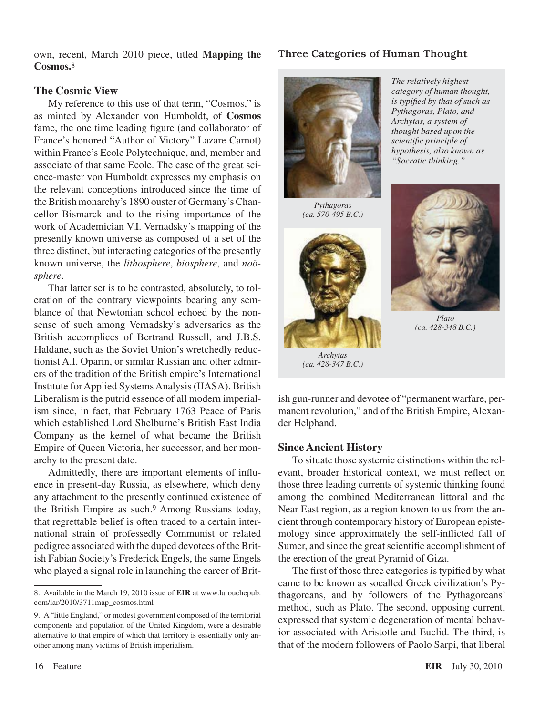own, recent, March 2010 piece, titled **Mapping the Cosmos.**8

#### **The Cosmic View**

My reference to this use of that term, "Cosmos," is as minted by Alexander von Humboldt, of **Cosmos** fame, the one time leading figure (and collaborator of France's honored "Author of Victory" Lazare Carnot) within France's Ecole Polytechnique, and, member and associate of that same Ecole. The case of the great science-master von Humboldt expresses my emphasis on the relevant conceptions introduced since the time of the British monarchy's 1890 ouster of Germany's Chancellor Bismarck and to the rising importance of the work of Academician V.I. Vernadsky's mapping of the presently known universe as composed of a set of the three distinct, but interacting categories of the presently known universe, the *lithosphere*, *biosphere*, and *noösphere*.

That latter set is to be contrasted, absolutely, to toleration of the contrary viewpoints bearing any semblance of that Newtonian school echoed by the nonsense of such among Vernadsky's adversaries as the British accomplices of Bertrand Russell, and J.B.S. Haldane, such as the Soviet Union's wretchedly reductionist A.I. Oparin, or similar Russian and other admirers of the tradition of the British empire's International Institute forApplied SystemsAnalysis(IIASA). British Liberalism is the putrid essence of all modern imperialism since, in fact, that February 1763 Peace of Paris which established Lord Shelburne's British East India Company as the kernel of what became the British Empire of Queen Victoria, her successor, and her monarchy to the present date.

Admittedly, there are important elements of influence in present-day Russia, as elsewhere, which deny any attachment to the presently continued existence of the British Empire as such.9 Among Russians today, that regrettable belief is often traced to a certain international strain of professedly Communist or related pedigree associated with the duped devotees of the British Fabian Society's Frederick Engels, the same Engels who played a signal role in launching the career of Brit-

#### Three Categories of Human Thought



*Pythagoras, Plato, and Archytas, a system of thought based upon the scientific principle of hypothesis, also known as "Socratic thinking."*

*The relatively highest category of human thought, is typified by that of such as* 

*Pythagoras (ca. 570-495 B.C.)*



*Archytas (ca. 428-347 B.C.)*



*Plato (ca. 428-348 B.C.)*

ish gun-runner and devotee of "permanent warfare, permanent revolution," and of the British Empire, Alexander Helphand.

#### **Since Ancient History**

To situate those systemic distinctions within the relevant, broader historical context, we must reflect on those three leading currents of systemic thinking found among the combined Mediterranean littoral and the Near East region, as a region known to us from the ancient through contemporary history of European epistemology since approximately the self-inflicted fall of Sumer, and since the great scientific accomplishment of the erection of the great Pyramid of Giza.

The first of those three categories is typified by what came to be known as socalled Greek civilization's Pythagoreans, and by followers of the Pythagoreans' method, such as Plato. The second, opposing current, expressed that systemic degeneration of mental behavior associated with Aristotle and Euclid. The third, is that of the modern followers of Paolo Sarpi, that liberal

<sup>8.</sup> Available in the March 19, 2010 issue of **EIR** at www.larouchepub. [com/lar/2010/3711map\\_cosmos.html](http://www.larouchepub.com/lar/2010/3711map_cosmos.html)

<sup>9.</sup> A"little England," or modest government composed of the territorial components and population of the United Kingdom, were a desirable alternative to that empire of which that territory is essentially only another among many victims of British imperialism.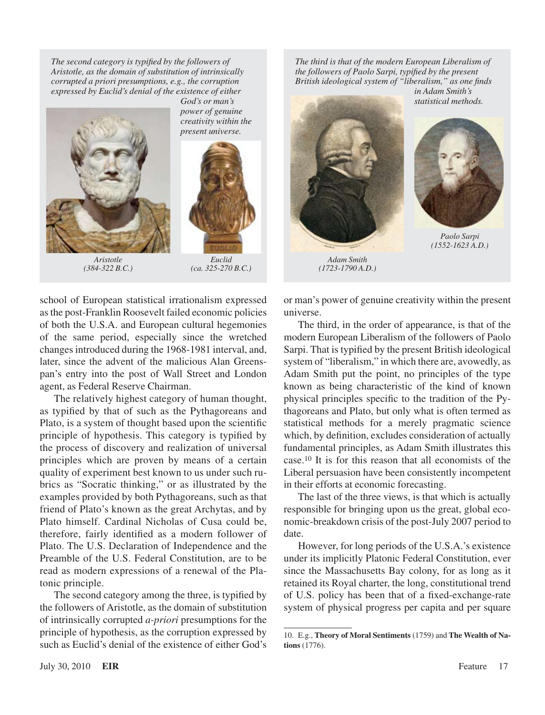*The second category is typified by the followers of Aristotle, as the domain of substitution of intrinsically corrupted a priori presumptions, e.g., the corruption expressed by Euclid's denial of the existence of either* 



*God's or man's power of genuine creativity within the present universe.*



*Aristotle (384-322 B.C.)*

*Euclid (ca. 325-270 B.C.)*

school of European statistical irrationalism expressed asthe post-Franklin Roosevelt failed economic policies of both the U.S.A. and European cultural hegemonies of the same period, especially since the wretched changesintroduced during the 1968-1981 interval, and, later, since the advent of the malicious Alan Greenspan's entry into the post of Wall Street and London agent, as Federal Reserve Chairman.

The relatively highest category of human thought, as typified by that of such as the Pythagoreans and Plato, is a system of thought based upon the scientific principle of hypothesis. This category is typified by the process of discovery and realization of universal principles which are proven by means of a certain quality of experiment best known to us under such rubrics as "Socratic thinking," or as illustrated by the examples provided by both Pythagoreans, such as that friend of Plato's known as the great Archytas, and by Plato himself. Cardinal Nicholas of Cusa could be, therefore, fairly identified as a modern follower of Plato. The U.S. Declaration of Independence and the Preamble of the U.S. Federal Constitution, are to be read as modern expressions of a renewal of the Platonic principle.

The second category among the three, is typified by the followers of Aristotle, as the domain of substitution of intrinsically corrupted *a-priori* presumptions for the principle of hypothesis, as the corruption expressed by such as Euclid's denial of the existence of either God's

*The third is that of the modern European Liberalism of the followers of Paolo Sarpi, typified by the present British ideological system of "liberalism," as one finds in Adam Smith's* 



*(1723-1790 A.D.)*



*Paolo Sarpi (1552-1623 A.D.)*

or man's power of genuine creativity within the present universe.

The third, in the order of appearance, is that of the modern European Liberalism of the followers of Paolo Sarpi. That is typified by the present British ideological system of "liberalism," in which there are, avowedly, as Adam Smith put the point, no principles of the type known as being characteristic of the kind of known physical principles specific to the tradition of the Pythagoreans and Plato, but only what is often termed as statistical methods for a merely pragmatic science which, by definition, excludes consideration of actually fundamental principles, as Adam Smith illustrates this case.10 It is for this reason that all economists of the Liberal persuasion have been consistently incompetent in their efforts at economic forecasting.

The last of the three views, is that which is actually responsible for bringing upon us the great, global economic-breakdown crisis of the post-July 2007 period to date.

However, for long periods of the U.S.A.'s existence under its implicitly Platonic Federal Constitution, ever since the Massachusetts Bay colony, for as long as it retained its Royal charter, the long, constitutional trend of U.S. policy has been that of a fixed-exchange-rate system of physical progress per capita and per square

<sup>10.</sup> E.g., **Theory of Moral Sentiments** (1759) and **The Wealth of Nations** (1776).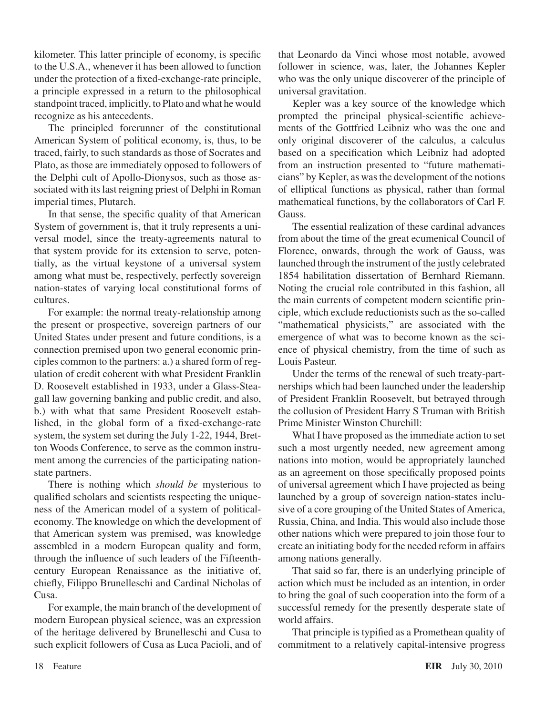kilometer. This latter principle of economy, is specific to the U.S.A., whenever it has been allowed to function under the protection of a fixed-exchange-rate principle, a principle expressed in a return to the philosophical standpoint traced, implicitly, to Plato and what he would recognize as his antecedents.

The principled forerunner of the constitutional American System of political economy, is, thus, to be traced, fairly, to such standards as those of Socrates and Plato, as those are immediately opposed to followers of the Delphi cult of Apollo-Dionysos, such as those associated with its last reigning priest of Delphi in Roman imperial times, Plutarch.

In that sense, the specific quality of that American System of government is, that it truly represents a universal model, since the treaty-agreements natural to that system provide for its extension to serve, potentially, as the virtual keystone of a universal system among what must be, respectively, perfectly sovereign nation-states of varying local constitutional forms of cultures.

For example: the normal treaty-relationship among the present or prospective, sovereign partners of our United States under present and future conditions, is a connection premised upon two general economic principles common to the partners: a.) a shared form of regulation of credit coherent with what President Franklin D. Roosevelt established in 1933, under a Glass-Steagall law governing banking and public credit, and also, b.) with what that same President Roosevelt established, in the global form of a fixed-exchange-rate system, the system set during the July 1-22, 1944, Bretton Woods Conference, to serve as the common instrument among the currencies of the participating nationstate partners.

There is nothing which *should be* mysterious to qualified scholars and scientists respecting the uniqueness of the American model of a system of politicaleconomy. The knowledge on which the development of that American system was premised, was knowledge assembled in a modern European quality and form, through the influence of such leaders of the Fifteenthcentury European Renaissance as the initiative of, chiefly, Filippo Brunelleschi and Cardinal Nicholas of Cusa.

For example, the main branch of the development of modern European physical science, was an expression of the heritage delivered by Brunelleschi and Cusa to such explicit followers of Cusa as Luca Pacioli, and of that Leonardo da Vinci whose most notable, avowed follower in science, was, later, the Johannes Kepler who was the only unique discoverer of the principle of universal gravitation.

Kepler was a key source of the knowledge which prompted the principal physical-scientific achievements of the Gottfried Leibniz who was the one and only original discoverer of the calculus, a calculus based on a specification which Leibniz had adopted from an instruction presented to "future mathematicians" by Kepler, as wasthe development of the notions of elliptical functions as physical, rather than formal mathematical functions, by the collaborators of Carl F. Gauss.

The essential realization of these cardinal advances from about the time of the great ecumenical Council of Florence, onwards, through the work of Gauss, was launched through the instrument of the justly celebrated 1854 habilitation dissertation of Bernhard Riemann. Noting the crucial role contributed in this fashion, all the main currents of competent modern scientific principle, which exclude reductionists such as the so-called "mathematical physicists," are associated with the emergence of what was to become known as the science of physical chemistry, from the time of such as Louis Pasteur.

Under the terms of the renewal of such treaty-partnerships which had been launched under the leadership of President Franklin Roosevelt, but betrayed through the collusion of President Harry S Truman with British Prime Minister Winston Churchill:

What I have proposed as the immediate action to set such a most urgently needed, new agreement among nations into motion, would be appropriately launched as an agreement on those specifically proposed points of universal agreement which I have projected as being launched by a group of sovereign nation-states inclusive of a core grouping of the United States of America, Russia, China, and India. This would also include those other nations which were prepared to join those four to create an initiating body for the needed reform in affairs among nations generally.

That said so far, there is an underlying principle of action which must be included as an intention, in order to bring the goal of such cooperation into the form of a successful remedy for the presently desperate state of world affairs.

That principle is typified as a Promethean quality of commitment to a relatively capital-intensive progress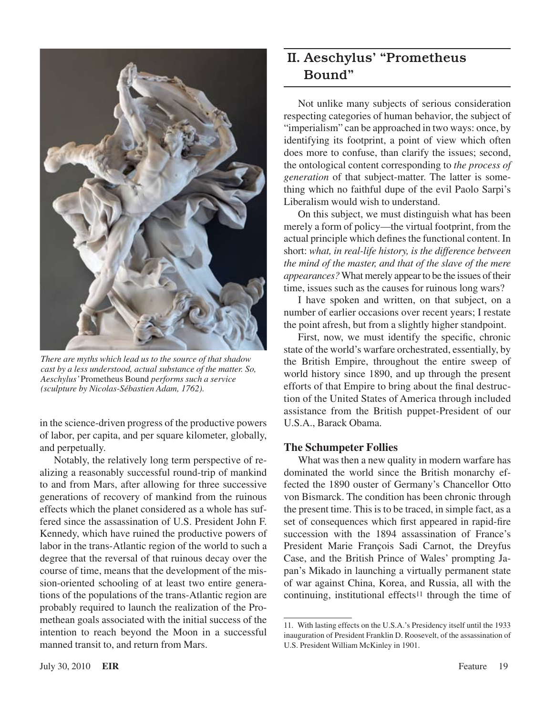

*There are myths which lead us to the source of that shadow cast by a less understood, actual substance of the matter. So, Aeschylus'* Prometheus Bound *performs such a service (sculpture by Nicolas-Sébastien Adam, 1762).*

in the science-driven progress of the productive powers of labor, per capita, and per square kilometer, globally, and perpetually.

Notably, the relatively long term perspective of realizing a reasonably successful round-trip of mankind to and from Mars, after allowing for three successive generations of recovery of mankind from the ruinous effects which the planet considered as a whole has suffered since the assassination of U.S. President John F. Kennedy, which have ruined the productive powers of labor in the trans-Atlantic region of the world to such a degree that the reversal of that ruinous decay over the course of time, means that the development of the mission-oriented schooling of at least two entire generations of the populations of the trans-Atlantic region are probably required to launch the realization of the Promethean goals associated with the initial success of the intention to reach beyond the Moon in a successful manned transit to, and return from Mars.

## II. Aeschylus' "Prometheus Bound"

Not unlike many subjects of serious consideration respecting categories of human behavior, the subject of "imperialism" can be approached in two ways: once, by identifying its footprint, a point of view which often does more to confuse, than clarify the issues; second, the ontological content corresponding to *the process of generation* of that subject-matter. The latter is something which no faithful dupe of the evil Paolo Sarpi's Liberalism would wish to understand.

On this subject, we must distinguish what has been merely a form of policy—the virtual footprint, from the actual principle which defines the functional content. In short: *what, in real-life history, is the difference between the mind of the master, and that of the slave of the mere appearances?* What merely appear to be the issues of their time, issues such as the causes for ruinous long wars?

I have spoken and written, on that subject, on a number of earlier occasions over recent years; I restate the point afresh, but from a slightly higher standpoint.

First, now, we must identify the specific, chronic state of the world's warfare orchestrated, essentially, by the British Empire, throughout the entire sweep of world history since 1890, and up through the present efforts of that Empire to bring about the final destruction of the United States of America through included assistance from the British puppet-President of our U.S.A., Barack Obama.

#### **The Schumpeter Follies**

What was then a new quality in modern warfare has dominated the world since the British monarchy effected the 1890 ouster of Germany's Chancellor Otto von Bismarck. The condition has been chronic through the present time. This is to be traced, in simple fact, as a set of consequences which first appeared in rapid-fire succession with the 1894 assassination of France's President Marie François Sadi Carnot, the Dreyfus Case, and the British Prince of Wales' prompting Japan's Mikado in launching a virtually permanent state of war against China, Korea, and Russia, all with the continuing, institutional effects<sup>11</sup> through the time of

<sup>11.</sup> With lasting effects on the U.S.A.'s Presidency itself until the 1933 inauguration of President Franklin D. Roosevelt, of the assassination of U.S. President William McKinley in 1901.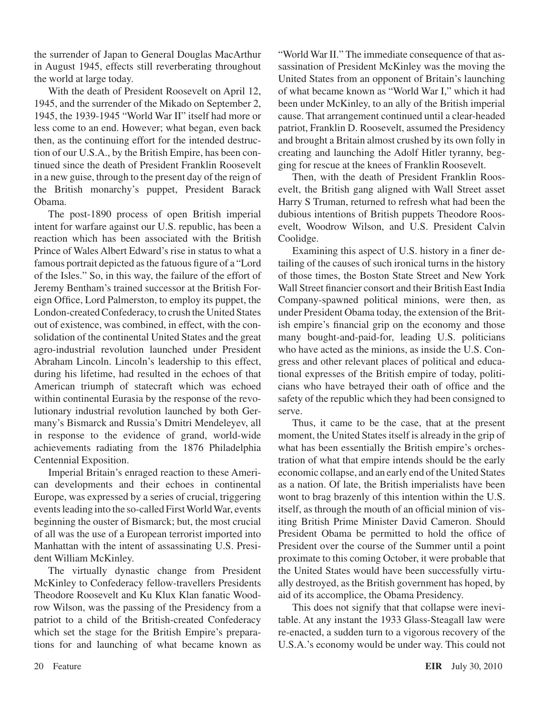the surrender of Japan to General Douglas MacArthur in August 1945, effects still reverberating throughout the world at large today.

With the death of President Roosevelt on April 12, 1945, and the surrender of the Mikado on September 2, 1945, the 1939-1945 "World War II" itself had more or less come to an end. However; what began, even back then, as the continuing effort for the intended destruction of our U.S.A., by the British Empire, has been continued since the death of President Franklin Roosevelt in a new guise, through to the present day of the reign of the British monarchy's puppet, President Barack Obama.

The post-1890 process of open British imperial intent for warfare against our U.S. republic, has been a reaction which has been associated with the British Prince of Wales Albert Edward's rise in status to what a famous portrait depicted asthe fatuous figure of a "Lord of the Isles." So, in this way, the failure of the effort of Jeremy Bentham's trained successor at the British Foreign Office, Lord Palmerston, to employ its puppet, the London-created Confederacy, to crush the United States out of existence, was combined, in effect, with the consolidation of the continental United States and the great agro-industrial revolution launched under President Abraham Lincoln. Lincoln's leadership to this effect, during his lifetime, had resulted in the echoes of that American triumph of statecraft which was echoed within continental Eurasia by the response of the revolutionary industrial revolution launched by both Germany's Bismarck and Russia's Dmitri Mendeleyev, all in response to the evidence of grand, world-wide achievements radiating from the 1876 Philadelphia Centennial Exposition.

Imperial Britain's enraged reaction to these American developments and their echoes in continental Europe, was expressed by a series of crucial, triggering eventsleading into the so-called FirstWorldWar, events beginning the ouster of Bismarck; but, the most crucial of all was the use of a European terrorist imported into Manhattan with the intent of assassinating U.S. President William McKinley.

The virtually dynastic change from President McKinley to Confederacy fellow-travellers Presidents Theodore Roosevelt and Ku Klux Klan fanatic Woodrow Wilson, was the passing of the Presidency from a patriot to a child of the British-created Confederacy which set the stage for the British Empire's preparations for and launching of what became known as

"World War II." The immediate consequence of that assassination of President McKinley was the moving the United States from an opponent of Britain's launching of what became known as "World War I," which it had been under McKinley, to an ally of the British imperial cause. That arrangement continued until a clear-headed patriot, Franklin D. Roosevelt, assumed the Presidency and brought a Britain almost crushed by its own folly in creating and launching the Adolf Hitler tyranny, begging for rescue at the knees of Franklin Roosevelt.

Then, with the death of President Franklin Roosevelt, the British gang aligned with Wall Street asset Harry S Truman, returned to refresh what had been the dubious intentions of British puppets Theodore Roosevelt, Woodrow Wilson, and U.S. President Calvin Coolidge.

Examining this aspect of U.S. history in a finer detailing of the causes of such ironical turns in the history of those times, the Boston State Street and New York Wall Street financier consort and their British East India Company-spawned political minions, were then, as under President Obama today, the extension of the British empire's financial grip on the economy and those many bought-and-paid-for, leading U.S. politicians who have acted as the minions, as inside the U.S. Congress and other relevant places of political and educational expresses of the British empire of today, politicians who have betrayed their oath of office and the safety of the republic which they had been consigned to serve.

Thus, it came to be the case, that at the present moment, the United States itself is already in the grip of what has been essentially the British empire's orchestration of what that empire intends should be the early economic collapse, and an early end of the United States as a nation. Of late, the British imperialists have been wont to brag brazenly of this intention within the U.S. itself, as through the mouth of an official minion of visiting British Prime Minister David Cameron. Should President Obama be permitted to hold the office of President over the course of the Summer until a point proximate to this coming October, it were probable that the United States would have been successfully virtually destroyed, as the British government has hoped, by aid of its accomplice, the Obama Presidency.

This does not signify that that collapse were inevitable. At any instant the 1933 Glass-Steagall law were re-enacted, a sudden turn to a vigorous recovery of the U.S.A.'s economy would be under way. This could not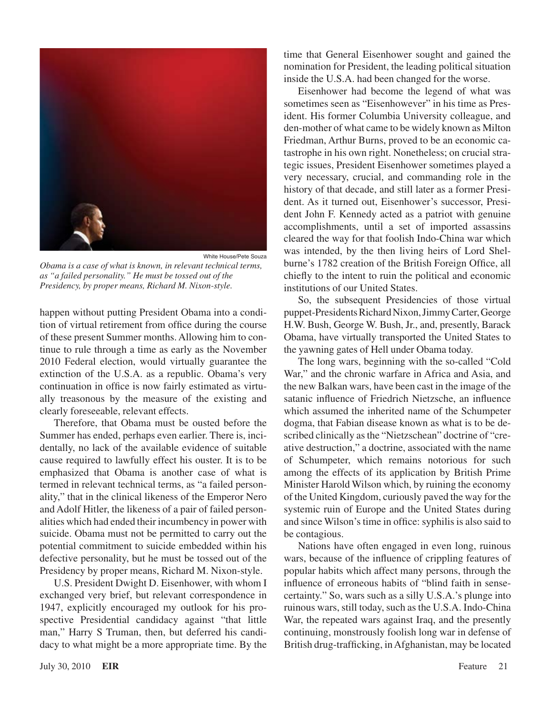

*Obama is a case of what is known, in relevant technical terms, as "a failed personality." He must be tossed out of the Presidency, by proper means, Richard M. Nixon-style.*

happen without putting President Obama into a condition of virtual retirement from office during the course of these present Summer months. Allowing him to continue to rule through a time as early as the November 2010 Federal election, would virtually guarantee the extinction of the U.S.A. as a republic. Obama's very continuation in office is now fairly estimated as virtually treasonous by the measure of the existing and clearly foreseeable, relevant effects.

Therefore, that Obama must be ousted before the Summer has ended, perhaps even earlier. There is, incidentally, no lack of the available evidence of suitable cause required to lawfully effect his ouster. It is to be emphasized that Obama is another case of what is termed in relevant technical terms, as "a failed personality," that in the clinical likeness of the Emperor Nero and Adolf Hitler, the likeness of a pair of failed personalities which had ended their incumbency in power with suicide. Obama must not be permitted to carry out the potential commitment to suicide embedded within his defective personality, but he must be tossed out of the Presidency by proper means, Richard M. Nixon-style.

U.S. President Dwight D. Eisenhower, with whom I exchanged very brief, but relevant correspondence in 1947, explicitly encouraged my outlook for his prospective Presidential candidacy against "that little man," Harry S Truman, then, but deferred his candidacy to what might be a more appropriate time. By the

time that General Eisenhower sought and gained the nomination for President, the leading political situation inside the U.S.A. had been changed for the worse.

Eisenhower had become the legend of what was sometimes seen as "Eisenhowever" in his time as President. His former Columbia University colleague, and den-mother of what came to be widely known as Milton Friedman, Arthur Burns, proved to be an economic catastrophe in his own right. Nonetheless; on crucial strategic issues, President Eisenhower sometimes played a very necessary, crucial, and commanding role in the history of that decade, and still later as a former President. As it turned out, Eisenhower's successor, President John F. Kennedy acted as a patriot with genuine accomplishments, until a set of imported assassins cleared the way for that foolish Indo-China war which was intended, by the then living heirs of Lord Shelburne's 1782 creation of the British Foreign Office, all chiefly to the intent to ruin the political and economic institutions of our United States.

So, the subsequent Presidencies of those virtual puppet-Presidents Richard Nixon, Jimmy Carter, George H.W. Bush, George W. Bush, Jr., and, presently, Barack Obama, have virtually transported the United States to the yawning gates of Hell under Obama today.

The long wars, beginning with the so-called "Cold War," and the chronic warfare in Africa and Asia, and the new Balkan wars, have been cast in the image of the satanic influence of Friedrich Nietzsche, an influence which assumed the inherited name of the Schumpeter dogma, that Fabian disease known as what is to be described clinically asthe "Nietzschean" doctrine of "creative destruction," a doctrine, associated with the name of Schumpeter, which remains notorious for such among the effects of its application by British Prime Minister Harold Wilson which, by ruining the economy of the United Kingdom, curiously paved the way for the systemic ruin of Europe and the United States during and since Wilson's time in office: syphilis is also said to be contagious.

Nations have often engaged in even long, ruinous wars, because of the influence of crippling features of popular habits which affect many persons, through the influence of erroneous habits of "blind faith in sensecertainty." So, wars such as a silly U.S.A.'s plunge into ruinous wars, still today, such as the U.S.A. Indo-China War, the repeated wars against Iraq, and the presently continuing, monstrously foolish long war in defense of British drug-trafficking, inAfghanistan, may be located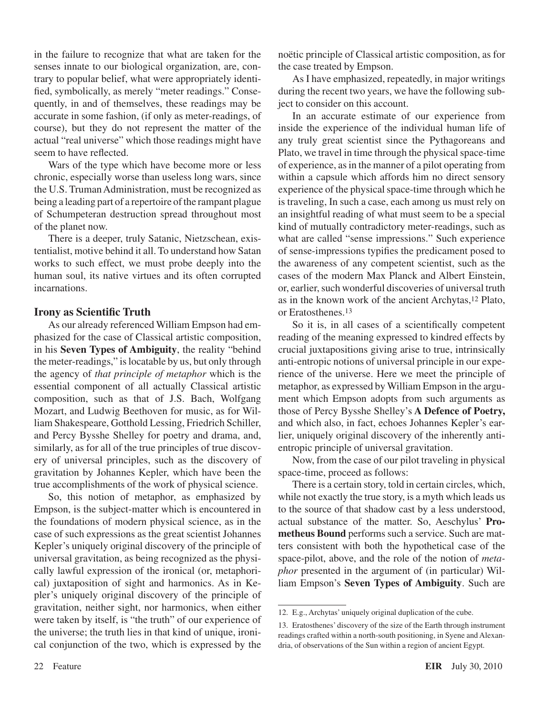in the failure to recognize that what are taken for the senses innate to our biological organization, are, contrary to popular belief, what were appropriately identified, symbolically, as merely "meter readings." Consequently, in and of themselves, these readings may be accurate in some fashion, (if only as meter-readings, of course), but they do not represent the matter of the actual "real universe" which those readings might have seem to have reflected.

Wars of the type which have become more or less chronic, especially worse than useless long wars, since the U.S. Truman Administration, must be recognized as being a leading part of a repertoire of the rampant plague of Schumpeteran destruction spread throughout most of the planet now.

There is a deeper, truly Satanic, Nietzschean, existentialist, motive behind it all. To understand how Satan works to such effect, we must probe deeply into the human soul, its native virtues and its often corrupted incarnations.

#### **Irony as Scientific Truth**

As our already referenced William Empson had emphasized for the case of Classical artistic composition, in his **Seven Types of Ambiguity**, the reality "behind the meter-readings," islocatable by us, but only through the agency of *that principle of metaphor* which is the essential component of all actually Classical artistic composition, such as that of J.S. Bach, Wolfgang Mozart, and Ludwig Beethoven for music, as for William Shakespeare, Gotthold Lessing, Friedrich Schiller, and Percy Bysshe Shelley for poetry and drama, and, similarly, as for all of the true principles of true discovery of universal principles, such as the discovery of gravitation by Johannes Kepler, which have been the true accomplishments of the work of physical science.

So, this notion of metaphor, as emphasized by Empson, is the subject-matter which is encountered in the foundations of modern physical science, as in the case of such expressions as the great scientist Johannes Kepler's uniquely original discovery of the principle of universal gravitation, as being recognized as the physically lawful expression of the ironical (or, metaphorical) juxtaposition of sight and harmonics. As in Kepler's uniquely original discovery of the principle of gravitation, neither sight, nor harmonics, when either were taken by itself, is "the truth" of our experience of the universe; the truth lies in that kind of unique, ironical conjunction of the two, which is expressed by the

noëtic principle of Classical artistic composition, as for the case treated by Empson.

As I have emphasized, repeatedly, in major writings during the recent two years, we have the following subject to consider on this account.

In an accurate estimate of our experience from inside the experience of the individual human life of any truly great scientist since the Pythagoreans and Plato, we travel in time through the physical space-time of experience, asin the manner of a pilot operating from within a capsule which affords him no direct sensory experience of the physical space-time through which he is traveling, In such a case, each among us must rely on an insightful reading of what must seem to be a special kind of mutually contradictory meter-readings, such as what are called "sense impressions." Such experience of sense-impressions typifies the predicament posed to the awareness of any competent scientist, such as the cases of the modern Max Planck and Albert Einstein, or, earlier, such wonderful discoveries of universal truth as in the known work of the ancient Archytas,12 Plato, or Eratosthenes.13

So it is, in all cases of a scientifically competent reading of the meaning expressed to kindred effects by crucial juxtapositions giving arise to true, intrinsically anti-entropic notions of universal principle in our experience of the universe. Here we meet the principle of metaphor, as expressed by William Empson in the argument which Empson adopts from such arguments as those of Percy Bysshe Shelley's **A Defence of Poetry,**  and which also, in fact, echoes Johannes Kepler's earlier, uniquely original discovery of the inherently antientropic principle of universal gravitation.

Now, from the case of our pilot traveling in physical space-time, proceed as follows:

There is a certain story, told in certain circles, which, while not exactly the true story, is a myth which leads us to the source of that shadow cast by a less understood, actual substance of the matter. So, Aeschylus' **Prometheus Bound** performs such a service. Such are matters consistent with both the hypothetical case of the space-pilot, above, and the role of the notion of *metaphor* presented in the argument of (in particular) William Empson's **Seven Types of Ambiguity**. Such are

<sup>12.</sup> E.g., Archytas' uniquely original duplication of the cube.

<sup>13.</sup> Eratosthenes' discovery of the size of the Earth through instrument readings crafted within a north-south positioning, in Syene and Alexandria, of observations of the Sun within a region of ancient Egypt.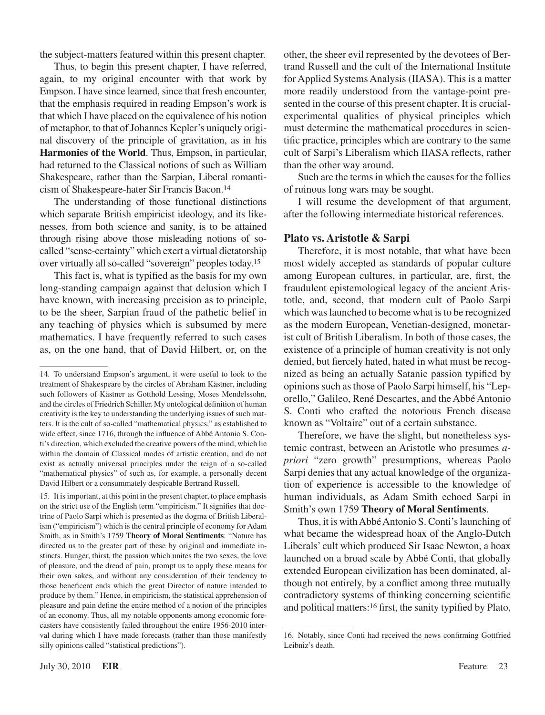the subject-matters featured within this present chapter.

Thus, to begin this present chapter, I have referred, again, to my original encounter with that work by Empson. I have since learned, since that fresh encounter, that the emphasis required in reading Empson's work is that which I have placed on the equivalence of his notion of metaphor, to that of Johannes Kepler's uniquely original discovery of the principle of gravitation, as in his **Harmonies of the World**. Thus, Empson, in particular, had returned to the Classical notions of such as William Shakespeare, rather than the Sarpian, Liberal romanticism of Shakespeare-hater Sir Francis Bacon.14

The understanding of those functional distinctions which separate British empiricist ideology, and its likenesses, from both science and sanity, is to be attained through rising above those misleading notions of socalled "sense-certainty" which exert a virtual dictatorship over virtually all so-called "sovereign" peoples today.15

This fact is, what is typified as the basis for my own long-standing campaign against that delusion which I have known, with increasing precision as to principle, to be the sheer, Sarpian fraud of the pathetic belief in any teaching of physics which is subsumed by mere mathematics. I have frequently referred to such cases as, on the one hand, that of David Hilbert, or, on the

15. It isimportant, at this point in the present chapter, to place emphasis on the strict use of the English term "empiricism." It signifies that doctrine of Paolo Sarpi which is presented as the dogma of British Liberalism ("empiricism") which is the central principle of economy for Adam Smith, as in Smith's 1759 **Theory of Moral Sentiments**: "Nature has directed us to the greater part of these by original and immediate instincts. Hunger, thirst, the passion which unites the two sexes, the love of pleasure, and the dread of pain, prompt us to apply these means for their own sakes, and without any consideration of their tendency to those beneficent ends which the great Director of nature intended to produce by them." Hence, in empiricism, the statistical apprehension of pleasure and pain define the entire method of a notion of the principles of an economy. Thus, all my notable opponents among economic forecasters have consistently failed throughout the entire 1956-2010 interval during which I have made forecasts (rather than those manifestly silly opinions called "statistical predictions").

other, the sheer evil represented by the devotees of Bertrand Russell and the cult of the International Institute for Applied Systems Analysis (IIASA). This is a matter more readily understood from the vantage-point presented in the course of this present chapter. It is crucialexperimental qualities of physical principles which must determine the mathematical procedures in scientific practice, principles which are contrary to the same cult of Sarpi's Liberalism which IIASA reflects, rather than the other way around.

Such are the terms in which the causes for the follies of ruinous long wars may be sought.

I will resume the development of that argument, after the following intermediate historical references.

#### **Plato vs. Aristotle & Sarpi**

Therefore, it is most notable, that what have been most widely accepted as standards of popular culture among European cultures, in particular, are, first, the fraudulent epistemological legacy of the ancient Aristotle, and, second, that modern cult of Paolo Sarpi which was launched to become what is to be recognized as the modern European, Venetian-designed, monetarist cult of British Liberalism. In both of those cases, the existence of a principle of human creativity is not only denied, but fiercely hated, hated in what must be recognized as being an actually Satanic passion typified by opinionssuch asthose of Paolo Sarpi himself, his "Leporello," Galileo, René Descartes, and the Abbé Antonio S. Conti who crafted the notorious French disease known as "Voltaire" out of a certain substance.

Therefore, we have the slight, but nonetheless systemic contrast, between an Aristotle who presumes *apriori* "zero growth" presumptions, whereas Paolo Sarpi denies that any actual knowledge of the organization of experience is accessible to the knowledge of human individuals, as Adam Smith echoed Sarpi in Smith's own 1759 **Theory of Moral Sentiments**.

Thus, it is with Abbé Antonio S. Conti's launching of what became the widespread hoax of the Anglo-Dutch Liberals' cult which produced Sir Isaac Newton, a hoax launched on a broad scale by Abbé Conti, that globally extended European civilization has been dominated, although not entirely, by a conflict among three mutually contradictory systems of thinking concerning scientific and political matters:16 first, the sanity typified by Plato,

<sup>14.</sup> To understand Empson's argument, it were useful to look to the treatment of Shakespeare by the circles of Abraham Kästner, including such followers of Kästner as Gotthold Lessing, Moses Mendelssohn, and the circles of Friedrich Schiller. My ontological definition of human creativity is the key to understanding the underlying issues of such matters. It is the cult of so-called "mathematical physics," as established to wide effect, since 1716, through the influence of Abbé Antonio S. Conti's direction, which excluded the creative powers of the mind, which lie within the domain of Classical modes of artistic creation, and do not exist as actually universal principles under the reign of a so-called "mathematical physics" of such as, for example, a personally decent David Hilbert or a consummately despicable Bertrand Russell.

<sup>16.</sup> Notably, since Conti had received the news confirming Gottfried Leibniz's death.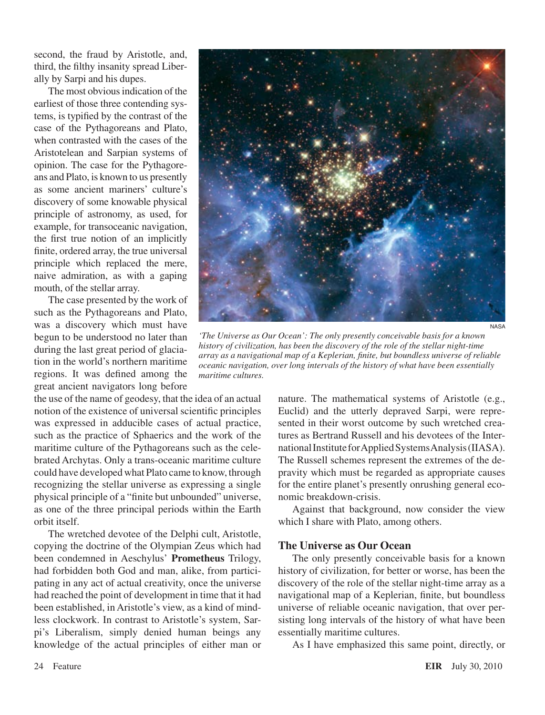second, the fraud by Aristotle, and, third, the filthy insanity spread Liberally by Sarpi and his dupes.

The most obvious indication of the earliest of those three contending systems, is typified by the contrast of the case of the Pythagoreans and Plato, when contrasted with the cases of the Aristotelean and Sarpian systems of opinion. The case for the Pythagoreans and Plato, is known to us presently as some ancient mariners' culture's discovery of some knowable physical principle of astronomy, as used, for example, for transoceanic navigation, the first true notion of an implicitly finite, ordered array, the true universal principle which replaced the mere, naive admiration, as with a gaping mouth, of the stellar array.

The case presented by the work of such as the Pythagoreans and Plato, was a discovery which must have begun to be understood no later than during the last great period of glaciation in the world's northern maritime regions. It was defined among the great ancient navigators long before

the use of the name of geodesy, that the idea of an actual notion of the existence of universal scientific principles was expressed in adducible cases of actual practice, such as the practice of Sphaerics and the work of the maritime culture of the Pythagoreans such as the celebrated Archytas. Only a trans-oceanic maritime culture could have developed what Plato came to know, through recognizing the stellar universe as expressing a single physical principle of a "finite but unbounded" universe, as one of the three principal periods within the Earth orbit itself.

The wretched devotee of the Delphi cult, Aristotle, copying the doctrine of the Olympian Zeus which had been condemned in Aeschylus' **Prometheus** Trilogy, had forbidden both God and man, alike, from participating in any act of actual creativity, once the universe had reached the point of development in time that it had been established, in Aristotle's view, as a kind of mindless clockwork. In contrast to Aristotle's system, Sarpi's Liberalism, simply denied human beings any knowledge of the actual principles of either man or



*'The Universe as Our Ocean': The only presently conceivable basis for a known history of civilization, has been the discovery of the role of the stellar night-time array as a navigational map of a Keplerian, finite, but boundless universe of reliable oceanic navigation, over long intervals of the history of what have been essentially maritime cultures.*

nature. The mathematical systems of Aristotle (e.g., Euclid) and the utterly depraved Sarpi, were represented in their worst outcome by such wretched creatures as Bertrand Russell and his devotees of the International Institute for Applied Systems Analysis (IIASA). The Russell schemes represent the extremes of the depravity which must be regarded as appropriate causes for the entire planet's presently onrushing general economic breakdown-crisis.

Against that background, now consider the view which I share with Plato, among others.

#### **The Universe as Our Ocean**

The only presently conceivable basis for a known history of civilization, for better or worse, has been the discovery of the role of the stellar night-time array as a navigational map of a Keplerian, finite, but boundless universe of reliable oceanic navigation, that over persisting long intervals of the history of what have been essentially maritime cultures.

As I have emphasized this same point, directly, or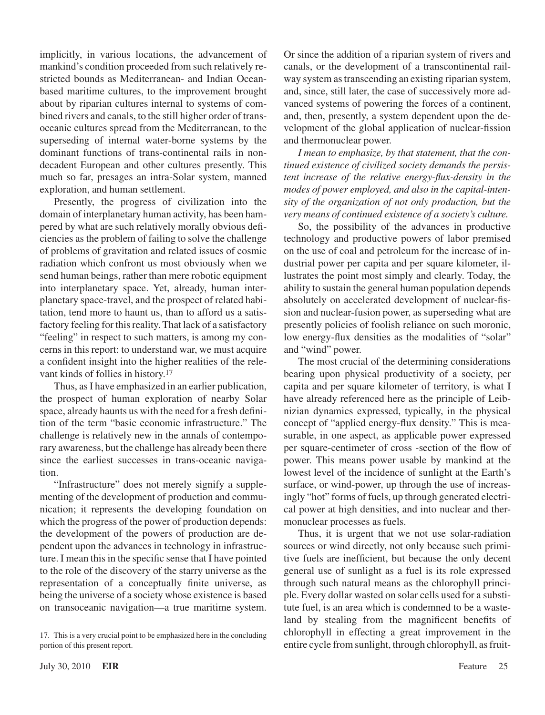implicitly, in various locations, the advancement of mankind's condition proceeded from such relatively restricted bounds as Mediterranean- and Indian Oceanbased maritime cultures, to the improvement brought about by riparian cultures internal to systems of combined rivers and canals, to the still higher order of transoceanic cultures spread from the Mediterranean, to the superseding of internal water-borne systems by the dominant functions of trans-continental rails in nondecadent European and other cultures presently. This much so far, presages an intra-Solar system, manned exploration, and human settlement.

Presently, the progress of civilization into the domain of interplanetary human activity, has been hampered by what are such relatively morally obvious deficiencies as the problem of failing to solve the challenge of problems of gravitation and related issues of cosmic radiation which confront us most obviously when we send human beings, rather than mere robotic equipment into interplanetary space. Yet, already, human interplanetary space-travel, and the prospect of related habitation, tend more to haunt us, than to afford us a satisfactory feeling for this reality. That lack of a satisfactory "feeling" in respect to such matters, is among my concerns in this report: to understand war, we must acquire a confident insight into the higher realities of the relevant kinds of follies in history.17

Thus, as I have emphasized in an earlier publication, the prospect of human exploration of nearby Solar space, already haunts us with the need for a fresh definition of the term "basic economic infrastructure." The challenge is relatively new in the annals of contemporary awareness, but the challenge has already been there since the earliest successes in trans-oceanic navigation.

"Infrastructure" does not merely signify a supplementing of the development of production and communication; it represents the developing foundation on which the progress of the power of production depends: the development of the powers of production are dependent upon the advances in technology in infrastructure. I mean this in the specific sense that I have pointed to the role of the discovery of the starry universe as the representation of a conceptually finite universe, as being the universe of a society whose existence is based on transoceanic navigation—a true maritime system.

Or since the addition of a riparian system of rivers and canals, or the development of a transcontinental railway system astranscending an existing riparian system, and, since, still later, the case of successively more advanced systems of powering the forces of a continent, and, then, presently, a system dependent upon the development of the global application of nuclear-fission and thermonuclear power.

*I mean to emphasize, by that statement, that the continued existence of civilized society demands the persistent increase of the relative energy-flux-density in the modes of power employed, and also in the capital-intensity of the organization of not only production, but the very means of continued existence of a society's culture.*

So, the possibility of the advances in productive technology and productive powers of labor premised on the use of coal and petroleum for the increase of industrial power per capita and per square kilometer, illustrates the point most simply and clearly. Today, the ability to sustain the general human population depends absolutely on accelerated development of nuclear-fission and nuclear-fusion power, as superseding what are presently policies of foolish reliance on such moronic, low energy-flux densities as the modalities of "solar" and "wind" power.

The most crucial of the determining considerations bearing upon physical productivity of a society, per capita and per square kilometer of territory, is what I have already referenced here as the principle of Leibnizian dynamics expressed, typically, in the physical concept of "applied energy-flux density." This is measurable, in one aspect, as applicable power expressed per square-centimeter of cross -section of the flow of power. This means power usable by mankind at the lowest level of the incidence of sunlight at the Earth's surface, or wind-power, up through the use of increasingly "hot" forms of fuels, up through generated electrical power at high densities, and into nuclear and thermonuclear processes as fuels.

Thus, it is urgent that we not use solar-radiation sources or wind directly, not only because such primitive fuels are inefficient, but because the only decent general use of sunlight as a fuel is its role expressed through such natural means as the chlorophyll principle. Every dollar wasted on solar cells used for a substitute fuel, is an area which is condemned to be a wasteland by stealing from the magnificent benefits of chlorophyll in effecting a great improvement in the entire cycle from sunlight, through chlorophyll, as fruit-

<sup>17.</sup> This is a very crucial point to be emphasized here in the concluding portion of this present report.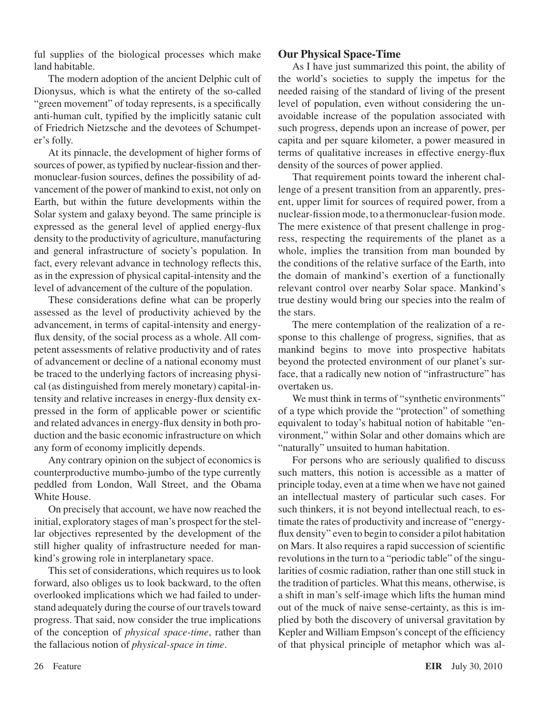ful supplies of the biological processes which make land habitable.

The modern adoption of the ancient Delphic cult of Dionysus, which is what the entirety of the so-called "green movement" of today represents, is a specifically anti-human cult, typified by the implicitly satanic cult of Friedrich Nietzsche and the devotees of Schumpeter's folly.

At its pinnacle, the development of higher forms of sources of power, astypified by nuclear-fission and thermonuclear-fusion sources, defines the possibility of advancement of the power of mankind to exist, not only on Earth, but within the future developments within the Solar system and galaxy beyond. The same principle is expressed as the general level of applied energy-flux density to the productivity of agriculture, manufacturing and general infrastructure of society's population. In fact, every relevant advance in technology reflects this, as in the expression of physical capital-intensity and the level of advancement of the culture of the population.

These considerations define what can be properly assessed as the level of productivity achieved by the advancement, in terms of capital-intensity and energyflux density, of the social process as a whole. All competent assessments of relative productivity and of rates of advancement or decline of a national economy must be traced to the underlying factors of increasing physical (as distinguished from merely monetary) capital-intensity and relative increases in energy-flux density expressed in the form of applicable power or scientific and related advances in energy-flux density in both production and the basic economic infrastructure on which any form of economy implicitly depends.

Any contrary opinion on the subject of economics is counterproductive mumbo-jumbo of the type currently peddled from London, Wall Street, and the Obama White House.

On precisely that account, we have now reached the initial, exploratory stages of man's prospect for the stellar objectives represented by the development of the still higher quality of infrastructure needed for mankind's growing role in interplanetary space.

This set of considerations, which requires us to look forward, also obliges us to look backward, to the often overlooked implications which we had failed to understand adequately during the course of our travels toward progress. That said, now consider the true implications of the conception of *physical space-time*, rather than the fallacious notion of *physical-space in time*.

#### **Our Physical Space-Time**

As I have just summarized this point, the ability of the world's societies to supply the impetus for the needed raising of the standard of living of the present level of population, even without considering the unavoidable increase of the population associated with such progress, depends upon an increase of power, per capita and per square kilometer, a power measured in terms of qualitative increases in effective energy-flux density of the sources of power applied.

That requirement points toward the inherent challenge of a present transition from an apparently, present, upper limit for sources of required power, from a nuclear-fission mode, to a thermonuclear-fusion mode. The mere existence of that present challenge in progress, respecting the requirements of the planet as a whole, implies the transition from man bounded by the conditions of the relative surface of the Earth, into the domain of mankind's exertion of a functionally relevant control over nearby Solar space. Mankind's true destiny would bring our species into the realm of the stars.

The mere contemplation of the realization of a response to this challenge of progress, signifies, that as mankind begins to move into prospective habitats beyond the protected environment of our planet's surface, that a radically new notion of "infrastructure" has overtaken us.

We must think in terms of "synthetic environments" of a type which provide the "protection" of something equivalent to today's habitual notion of habitable "environment," within Solar and other domains which are "naturally" unsuited to human habitation.

For persons who are seriously qualified to discuss such matters, this notion is accessible as a matter of principle today, even at a time when we have not gained an intellectual mastery of particular such cases. For such thinkers, it is not beyond intellectual reach, to estimate the rates of productivity and increase of "energyflux density" even to begin to consider a pilot habitation on Mars. It also requires a rapid succession of scientific revolutions in the turn to a "periodic table" of the singularities of cosmic radiation, rather than one still stuck in the tradition of particles. What this means, otherwise, is a shift in man's self-image which lifts the human mind out of the muck of naive sense-certainty, as this is implied by both the discovery of universal gravitation by Kepler and William Empson's concept of the efficiency of that physical principle of metaphor which was al-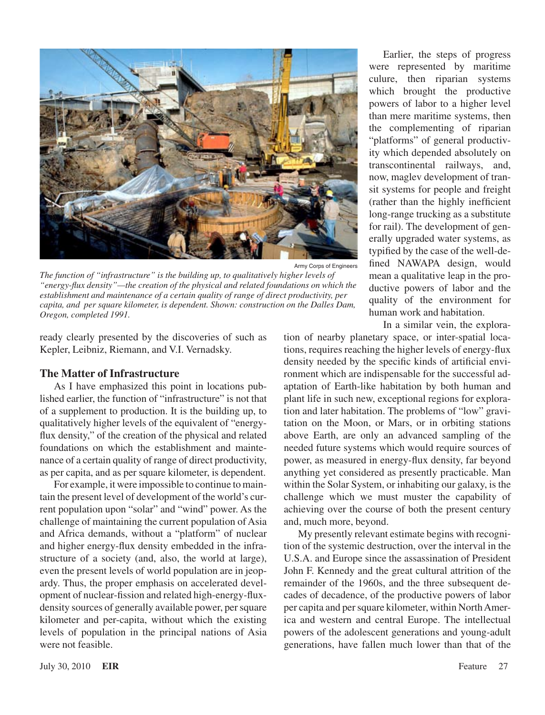

Army Corps of Engineers

*The function of "infrastructure" is the building up, to qualitatively higher levels of "energy-flux density"—the creation of the physical and related foundations on which the establishment and maintenance of a certain quality of range of direct productivity, per capita, and per square kilometer, is dependent. Shown: construction on the Dalles Dam, Oregon, completed 1991.*

ready clearly presented by the discoveries of such as Kepler, Leibniz, Riemann, and V.I. Vernadsky.

#### **The Matter of Infrastructure**

As I have emphasized this point in locations published earlier, the function of "infrastructure" is not that of a supplement to production. It is the building up, to qualitatively higher levels of the equivalent of "energyflux density," of the creation of the physical and related foundations on which the establishment and maintenance of a certain quality of range of direct productivity, as per capita, and as per square kilometer, is dependent.

For example, it were impossible to continue to maintain the present level of development of the world's current population upon "solar" and "wind" power. As the challenge of maintaining the current population of Asia and Africa demands, without a "platform" of nuclear and higher energy-flux density embedded in the infrastructure of a society (and, also, the world at large), even the present levels of world population are in jeopardy. Thus, the proper emphasis on accelerated development of nuclear-fission and related high-energy-fluxdensity sources of generally available power, per square kilometer and per-capita, without which the existing levels of population in the principal nations of Asia were not feasible.

Earlier, the steps of progress were represented by maritime culure, then riparian systems which brought the productive powers of labor to a higher level than mere maritime systems, then the complementing of riparian "platforms" of general productivity which depended absolutely on transcontinental railways, and, now, maglev development of transit systems for people and freight (rather than the highly inefficient long-range trucking as a substitute for rail). The development of generally upgraded water systems, as typified by the case of the well-defined NAWAPA design, would mean a qualitative leap in the productive powers of labor and the quality of the environment for human work and habitation.

In a similar vein, the explora-

tion of nearby planetary space, or inter-spatial locations, requires reaching the higher levels of energy-flux density needed by the specific kinds of artificial environment which are indispensable for the successful adaptation of Earth-like habitation by both human and plant life in such new, exceptional regions for exploration and later habitation. The problems of "low" gravitation on the Moon, or Mars, or in orbiting stations above Earth, are only an advanced sampling of the needed future systems which would require sources of power, as measured in energy-flux density, far beyond anything yet considered as presently practicable. Man within the Solar System, or inhabiting our galaxy, is the challenge which we must muster the capability of achieving over the course of both the present century and, much more, beyond.

My presently relevant estimate begins with recognition of the systemic destruction, over the interval in the U.S.A. and Europe since the assassination of President John F. Kennedy and the great cultural attrition of the remainder of the 1960s, and the three subsequent decades of decadence, of the productive powers of labor per capita and persquare kilometer, within NorthAmerica and western and central Europe. The intellectual powers of the adolescent generations and young-adult generations, have fallen much lower than that of the

July 30, 2010 **EIR** Feature 27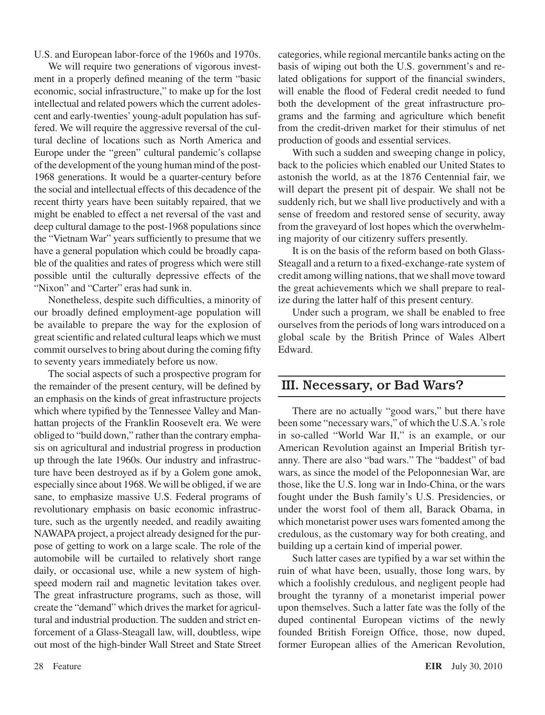U.S. and European labor-force of the 1960s and 1970s.

We will require two generations of vigorous investment in a properly defined meaning of the term "basic economic, social infrastructure," to make up for the lost intellectual and related powers which the current adolescent and early-twenties' young-adult population has suffered. We will require the aggressive reversal of the cultural decline of locations such as North America and Europe under the "green" cultural pandemic's collapse of the development of the young human mind of the post-1968 generations. It would be a quarter-century before the social and intellectual effects of this decadence of the recent thirty years have been suitably repaired, that we might be enabled to effect a net reversal of the vast and deep cultural damage to the post-1968 populations since the "Vietnam War" years sufficiently to presume that we have a general population which could be broadly capable of the qualities and rates of progress which were still possible until the culturally depressive effects of the "Nixon" and "Carter" eras had sunk in.

Nonetheless, despite such difficulties, a minority of our broadly defined employment-age population will be available to prepare the way for the explosion of great scientific and related cultural leaps which we must commit ourselves to bring about during the coming fifty to seventy years immediately before us now.

The social aspects of such a prospective program for the remainder of the present century, will be defined by an emphasis on the kinds of great infrastructure projects which where typified by the Tennessee Valley and Manhattan projects of the Franklin Roosevelt era. We were obliged to "build down," rather than the contrary emphasis on agricultural and industrial progress in production up through the late 1960s. Our industry and infrastructure have been destroyed as if by a Golem gone amok, especially since about 1968.We will be obliged, if we are sane, to emphasize massive U.S. Federal programs of revolutionary emphasis on basic economic infrastructure, such as the urgently needed, and readily awaiting NAWAPA project, a project already designed for the purpose of getting to work on a large scale. The role of the automobile will be curtailed to relatively short range daily, or occasional use, while a new system of highspeed modern rail and magnetic levitation takes over. The great infrastructure programs, such as those, will create the "demand" which drives the market for agricultural and industrial production. The sudden and strict enforcement of a Glass-Steagall law, will, doubtless, wipe out most of the high-binder Wall Street and State Street categories, while regional mercantile banks acting on the basis of wiping out both the U.S. government's and related obligations for support of the financial swinders, will enable the flood of Federal credit needed to fund both the development of the great infrastructure programs and the farming and agriculture which benefit from the credit-driven market for their stimulus of net production of goods and essential services.

With such a sudden and sweeping change in policy, back to the policies which enabled our United States to astonish the world, as at the 1876 Centennial fair, we will depart the present pit of despair. We shall not be suddenly rich, but we shall live productively and with a sense of freedom and restored sense of security, away from the graveyard of lost hopes which the overwhelming majority of our citizenry suffers presently.

It is on the basis of the reform based on both Glass-Steagall and a return to a fixed-exchange-rate system of credit among willing nations, that we shall move toward the great achievements which we shall prepare to realize during the latter half of this present century.

Under such a program, we shall be enabled to free ourselves from the periods of long wars introduced on a global scale by the British Prince of Wales Albert Edward.

### III. Necessary, or Bad Wars?

There are no actually "good wars," but there have been some "necessary wars," of which the U.S.A.'s role in so-called "World War II," is an example, or our American Revolution against an Imperial British tyranny. There are also "bad wars." The "baddest" of bad wars, as since the model of the Peloponnesian War, are those, like the U.S. long war in Indo-China, or the wars fought under the Bush family's U.S. Presidencies, or under the worst fool of them all, Barack Obama, in which monetarist power uses wars fomented among the credulous, as the customary way for both creating, and building up a certain kind of imperial power.

Such latter cases are typified by a war set within the ruin of what have been, usually, those long wars, by which a foolishly credulous, and negligent people had brought the tyranny of a monetarist imperial power upon themselves. Such a latter fate was the folly of the duped continental European victims of the newly founded British Foreign Office, those, now duped, former European allies of the American Revolution,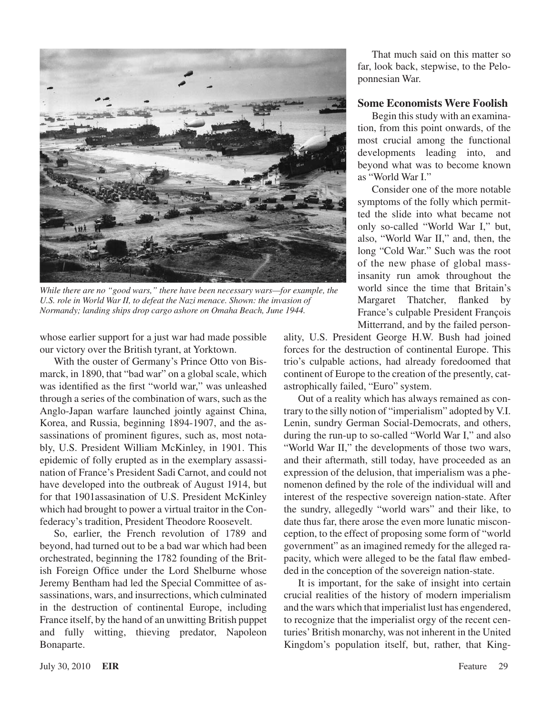

*While there are no "good wars," there have been necessary wars—for example, the U.S. role in World War II, to defeat the Nazi menace. Shown: the invasion of Normandy; landing ships drop cargo ashore on Omaha Beach, June 1944.*

whose earlier support for a just war had made possible our victory over the British tyrant, at Yorktown.

With the ouster of Germany's Prince Otto von Bismarck, in 1890, that "bad war" on a global scale, which was identified as the first "world war," was unleashed through a series of the combination of wars, such as the Anglo-Japan warfare launched jointly against China, Korea, and Russia, beginning 1894-1907, and the assassinations of prominent figures, such as, most notably, U.S. President William McKinley, in 1901. This epidemic of folly erupted as in the exemplary assassination of France's President Sadi Carnot, and could not have developed into the outbreak of August 1914, but for that 1901assasination of U.S. President McKinley which had brought to power a virtual traitor in the Confederacy's tradition, President Theodore Roosevelt.

So, earlier, the French revolution of 1789 and beyond, had turned out to be a bad war which had been orchestrated, beginning the 1782 founding of the British Foreign Office under the Lord Shelburne whose Jeremy Bentham had led the Special Committee of assassinations, wars, and insurrections, which culminated in the destruction of continental Europe, including France itself, by the hand of an unwitting British puppet and fully witting, thieving predator, Napoleon Bonaparte.

That much said on this matter so far, look back, stepwise, to the Peloponnesian War.

#### **Some Economists Were Foolish**

Begin this study with an examination, from this point onwards, of the most crucial among the functional developments leading into, and beyond what was to become known as "World War I."

Consider one of the more notable symptoms of the folly which permitted the slide into what became not only so-called "World War I," but, also, "World War II," and, then, the long "Cold War." Such was the root of the new phase of global massinsanity run amok throughout the world since the time that Britain's Margaret Thatcher, flanked by France's culpable President François Mitterrand, and by the failed person-

ality, U.S. President George H.W. Bush had joined forces for the destruction of continental Europe. This trio's culpable actions, had already foredoomed that continent of Europe to the creation of the presently, catastrophically failed, "Euro" system.

Out of a reality which has always remained as contrary to the silly notion of "imperialism" adopted by V.I. Lenin, sundry German Social-Democrats, and others, during the run-up to so-called "World War I," and also "World War II," the developments of those two wars, and their aftermath, still today, have proceeded as an expression of the delusion, that imperialism was a phenomenon defined by the role of the individual will and interest of the respective sovereign nation-state. After the sundry, allegedly "world wars" and their like, to date thus far, there arose the even more lunatic misconception, to the effect of proposing some form of "world government" as an imagined remedy for the alleged rapacity, which were alleged to be the fatal flaw embedded in the conception of the sovereign nation-state.

It is important, for the sake of insight into certain crucial realities of the history of modern imperialism and the wars which that imperialist lust has engendered, to recognize that the imperialist orgy of the recent centuries'British monarchy, was not inherent in the United Kingdom's population itself, but, rather, that King-

July 30, 2010 **EIR** Feature 29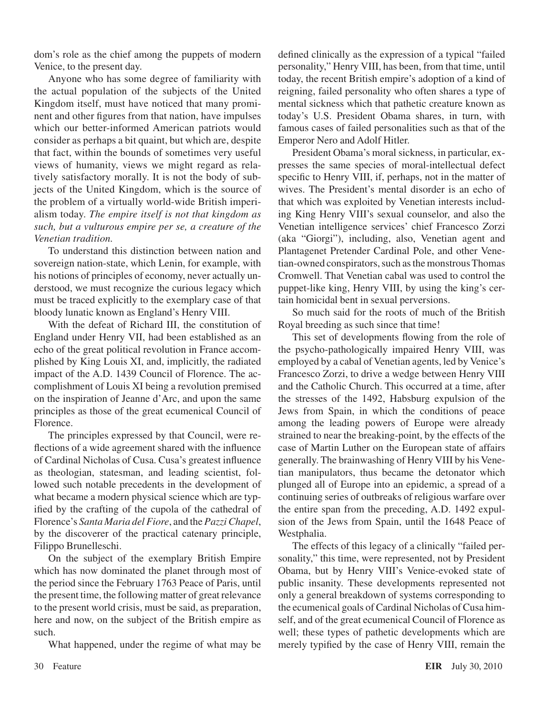dom's role as the chief among the puppets of modern Venice, to the present day.

Anyone who has some degree of familiarity with the actual population of the subjects of the United Kingdom itself, must have noticed that many prominent and other figures from that nation, have impulses which our better-informed American patriots would consider as perhaps a bit quaint, but which are, despite that fact, within the bounds of sometimes very useful views of humanity, views we might regard as relatively satisfactory morally. It is not the body of subjects of the United Kingdom, which is the source of the problem of a virtually world-wide British imperialism today. *The empire itself is not that kingdom as such, but a vulturous empire per se, a creature of the Venetian tradition.*

To understand this distinction between nation and sovereign nation-state, which Lenin, for example, with his notions of principles of economy, never actually understood, we must recognize the curious legacy which must be traced explicitly to the exemplary case of that bloody lunatic known as England's Henry VIII.

With the defeat of Richard III, the constitution of England under Henry VII, had been established as an echo of the great political revolution in France accomplished by King Louis XI, and, implicitly, the radiated impact of the A.D. 1439 Council of Florence. The accomplishment of Louis XI being a revolution premised on the inspiration of Jeanne d'Arc, and upon the same principles as those of the great ecumenical Council of Florence.

The principles expressed by that Council, were reflections of a wide agreement shared with the influence of Cardinal Nicholas of Cusa. Cusa's greatest influence as theologian, statesman, and leading scientist, followed such notable precedents in the development of what became a modern physical science which are typified by the crafting of the cupola of the cathedral of Florence's *Santa Maria del Fiore*, and the *Pazzi Chapel*, by the discoverer of the practical catenary principle, Filippo Brunelleschi.

On the subject of the exemplary British Empire which has now dominated the planet through most of the period since the February 1763 Peace of Paris, until the present time, the following matter of great relevance to the present world crisis, must be said, as preparation, here and now, on the subject of the British empire as such.

What happened, under the regime of what may be

defined clinically as the expression of a typical "failed personality," Henry VIII, has been, from that time, until today, the recent British empire's adoption of a kind of reigning, failed personality who often shares a type of mental sickness which that pathetic creature known as today's U.S. President Obama shares, in turn, with famous cases of failed personalities such as that of the Emperor Nero and Adolf Hitler.

President Obama's moral sickness, in particular, expresses the same species of moral-intellectual defect specific to Henry VIII, if, perhaps, not in the matter of wives. The President's mental disorder is an echo of that which was exploited by Venetian interests including King Henry VIII's sexual counselor, and also the Venetian intelligence services' chief Francesco Zorzi (aka "Giorgi"), including, also, Venetian agent and Plantagenet Pretender Cardinal Pole, and other Venetian-owned conspirators, such as the monstrous Thomas Cromwell. That Venetian cabal was used to control the puppet-like king, Henry VIII, by using the king's certain homicidal bent in sexual perversions.

So much said for the roots of much of the British Royal breeding as such since that time!

This set of developments flowing from the role of the psycho-pathologically impaired Henry VIII, was employed by a cabal of Venetian agents, led by Venice's Francesco Zorzi, to drive a wedge between Henry VIII and the Catholic Church. This occurred at a time, after the stresses of the 1492, Habsburg expulsion of the Jews from Spain, in which the conditions of peace among the leading powers of Europe were already strained to near the breaking-point, by the effects of the case of Martin Luther on the European state of affairs generally. The brainwashing of Henry VIII by his Venetian manipulators, thus became the detonator which plunged all of Europe into an epidemic, a spread of a continuing series of outbreaks of religious warfare over the entire span from the preceding, A.D. 1492 expulsion of the Jews from Spain, until the 1648 Peace of Westphalia.

The effects of this legacy of a clinically "failed personality," this time, were represented, not by President Obama, but by Henry VIII's Venice-evoked state of public insanity. These developments represented not only a general breakdown of systems corresponding to the ecumenical goals of Cardinal Nicholas of Cusa himself, and of the great ecumenical Council of Florence as well; these types of pathetic developments which are merely typified by the case of Henry VIII, remain the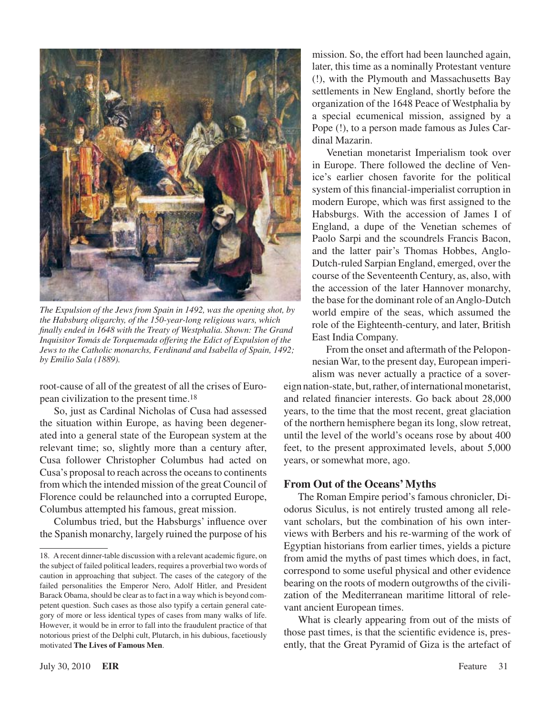

*The Expulsion of the Jews from Spain in 1492, was the opening shot, by the Habsburg oligarchy, of the 150-year-long religious wars, which finally ended in 1648 with the Treaty of Westphalia. Shown: The Grand Inquisitor Tomás de Torquemada offering the Edict of Expulsion of the Jews to the Catholic monarchs, Ferdinand and Isabella of Spain, 1492; by Emilio Sala (1889).*

root-cause of all of the greatest of all the crises of European civilization to the present time.18

So, just as Cardinal Nicholas of Cusa had assessed the situation within Europe, as having been degenerated into a general state of the European system at the relevant time; so, slightly more than a century after, Cusa follower Christopher Columbus had acted on Cusa's proposal to reach across the oceans to continents from which the intended mission of the great Council of Florence could be relaunched into a corrupted Europe, Columbus attempted his famous, great mission.

Columbus tried, but the Habsburgs' influence over the Spanish monarchy, largely ruined the purpose of his mission. So, the effort had been launched again, later, this time as a nominally Protestant venture (!), with the Plymouth and Massachusetts Bay settlements in New England, shortly before the organization of the 1648 Peace of Westphalia by a special ecumenical mission, assigned by a Pope (!), to a person made famous as Jules Cardinal Mazarin.

Venetian monetarist Imperialism took over in Europe. There followed the decline of Venice's earlier chosen favorite for the political system of this financial-imperialist corruption in modern Europe, which was first assigned to the Habsburgs. With the accession of James I of England, a dupe of the Venetian schemes of Paolo Sarpi and the scoundrels Francis Bacon, and the latter pair's Thomas Hobbes, Anglo-Dutch-ruled Sarpian England, emerged, over the course of the Seventeenth Century, as, also, with the accession of the later Hannover monarchy, the base for the dominant role of an Anglo-Dutch world empire of the seas, which assumed the role of the Eighteenth-century, and later, British East India Company.

From the onset and aftermath of the Peloponnesian War, to the present day, European imperi-

alism was never actually a practice of a sovereign nation-state, but, rather, of international monetarist, and related financier interests. Go back about 28,000 years, to the time that the most recent, great glaciation of the northern hemisphere began its long, slow retreat, until the level of the world's oceans rose by about 400 feet, to the present approximated levels, about 5,000 years, or somewhat more, ago.

#### **From Out of the Oceans' Myths**

The Roman Empire period's famous chronicler, Diodorus Siculus, is not entirely trusted among all relevant scholars, but the combination of his own interviews with Berbers and his re-warming of the work of Egyptian historians from earlier times, yields a picture from amid the myths of past times which does, in fact, correspond to some useful physical and other evidence bearing on the roots of modern outgrowths of the civilization of the Mediterranean maritime littoral of relevant ancient European times.

What is clearly appearing from out of the mists of those past times, is that the scientific evidence is, presently, that the Great Pyramid of Giza is the artefact of

<sup>18.</sup> Arecent dinner-table discussion with a relevant academic figure, on the subject of failed political leaders, requires a proverbial two words of caution in approaching that subject. The cases of the category of the failed personalities the Emperor Nero, Adolf Hitler, and President Barack Obama, should be clear as to fact in a way which is beyond competent question. Such cases as those also typify a certain general category of more or less identical types of cases from many walks of life. However, it would be in error to fall into the fraudulent practice of that notorious priest of the Delphi cult, Plutarch, in his dubious, facetiously motivated **The Lives of Famous Men**.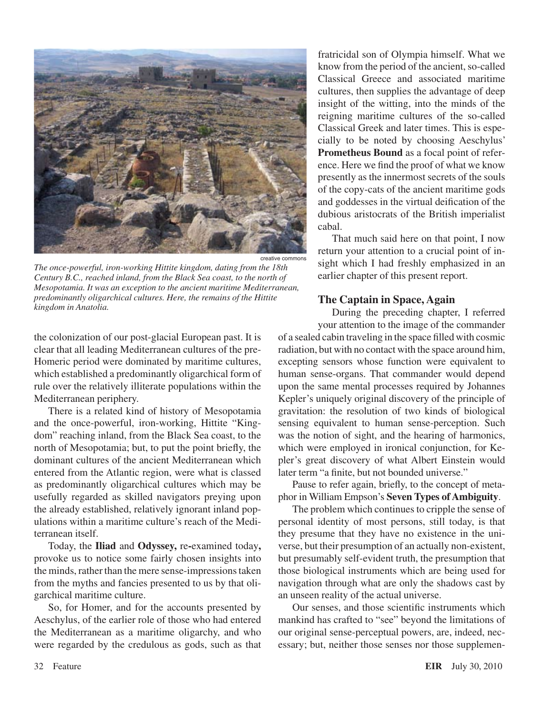

*The once-powerful, iron-working Hittite kingdom, dating from the 18th Century B.C., reached inland, from the Black Sea coast, to the north of Mesopotamia. It was an exception to the ancient maritime Mediterranean, predominantly oligarchical cultures. Here, the remains of the Hittite kingdom in Anatolia.*

the colonization of our post-glacial European past. It is clear that all leading Mediterranean cultures of the pre-Homeric period were dominated by maritime cultures, which established a predominantly oligarchical form of rule over the relatively illiterate populations within the Mediterranean periphery.

There is a related kind of history of Mesopotamia and the once-powerful, iron-working, Hittite "Kingdom" reaching inland, from the Black Sea coast, to the north of Mesopotamia; but, to put the point briefly, the dominant cultures of the ancient Mediterranean which entered from the Atlantic region, were what is classed as predominantly oligarchical cultures which may be usefully regarded as skilled navigators preying upon the already established, relatively ignorant inland populations within a maritime culture's reach of the Mediterranean itself.

Today, the **Iliad** and **Odyssey,** re**-**examined today**,** provoke us to notice some fairly chosen insights into the minds, rather than the mere sense-impressions taken from the myths and fancies presented to us by that oligarchical maritime culture.

So, for Homer, and for the accounts presented by Aeschylus, of the earlier role of those who had entered the Mediterranean as a maritime oligarchy, and who were regarded by the credulous as gods, such as that fratricidal son of Olympia himself. What we know from the period of the ancient, so-called Classical Greece and associated maritime cultures, then supplies the advantage of deep insight of the witting, into the minds of the reigning maritime cultures of the so-called Classical Greek and later times. This is especially to be noted by choosing Aeschylus' **Prometheus Bound** as a focal point of reference. Here we find the proof of what we know presently as the innermost secrets of the souls of the copy-cats of the ancient maritime gods and goddesses in the virtual deification of the dubious aristocrats of the British imperialist cabal.

That much said here on that point, I now return your attention to a crucial point of insight which I had freshly emphasized in an earlier chapter of this present report.

#### **The Captain in Space, Again**

During the preceding chapter, I referred your attention to the image of the commander of a sealed cabin traveling in the space filled with cosmic radiation, but with no contact with the space around him, excepting sensors whose function were equivalent to human sense-organs. That commander would depend upon the same mental processes required by Johannes Kepler's uniquely original discovery of the principle of gravitation: the resolution of two kinds of biological sensing equivalent to human sense-perception. Such was the notion of sight, and the hearing of harmonics, which were employed in ironical conjunction, for Kepler's great discovery of what Albert Einstein would later term "a finite, but not bounded universe."

Pause to refer again, briefly, to the concept of metaphor in William Empson's **Seven Types of Ambiguity**.

The problem which continues to cripple the sense of personal identity of most persons, still today, is that they presume that they have no existence in the universe, but their presumption of an actually non-existent, but presumably self-evident truth, the presumption that those biological instruments which are being used for navigation through what are only the shadows cast by an unseen reality of the actual universe.

Our senses, and those scientific instruments which mankind has crafted to "see" beyond the limitations of our original sense-perceptual powers, are, indeed, necessary; but, neither those senses nor those supplemen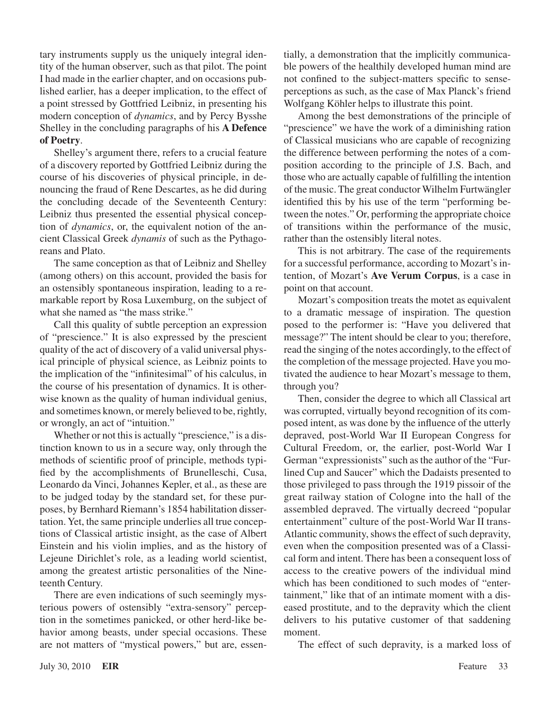tary instruments supply us the uniquely integral identity of the human observer, such as that pilot. The point I had made in the earlier chapter, and on occasions published earlier, has a deeper implication, to the effect of a point stressed by Gottfried Leibniz, in presenting his modern conception of *dynamics*, and by Percy Bysshe Shelley in the concluding paragraphs of his **A Defence of Poetry**.

Shelley's argument there, refers to a crucial feature of a discovery reported by Gottfried Leibniz during the course of his discoveries of physical principle, in denouncing the fraud of Rene Descartes, as he did during the concluding decade of the Seventeenth Century: Leibniz thus presented the essential physical conception of *dynamics*, or, the equivalent notion of the ancient Classical Greek *dynamis* of such as the Pythagoreans and Plato.

The same conception as that of Leibniz and Shelley (among others) on this account, provided the basis for an ostensibly spontaneous inspiration, leading to a remarkable report by Rosa Luxemburg, on the subject of what she named as "the mass strike."

Call this quality of subtle perception an expression of "prescience." It is also expressed by the prescient quality of the act of discovery of a valid universal physical principle of physical science, as Leibniz points to the implication of the "infinitesimal" of his calculus, in the course of his presentation of dynamics. It is otherwise known as the quality of human individual genius, and sometimes known, or merely believed to be, rightly, or wrongly, an act of "intuition."

Whether or not this is actually "prescience," is a distinction known to us in a secure way, only through the methods of scientific proof of principle, methods typified by the accomplishments of Brunelleschi, Cusa, Leonardo da Vinci, Johannes Kepler, et al., as these are to be judged today by the standard set, for these purposes, by Bernhard Riemann's 1854 habilitation dissertation. Yet, the same principle underlies all true conceptions of Classical artistic insight, as the case of Albert Einstein and his violin implies, and as the history of Lejeune Dirichlet's role, as a leading world scientist, among the greatest artistic personalities of the Nineteenth Century.

There are even indications of such seemingly mysterious powers of ostensibly "extra-sensory" perception in the sometimes panicked, or other herd-like behavior among beasts, under special occasions. These are not matters of "mystical powers," but are, essentially, a demonstration that the implicitly communicable powers of the healthily developed human mind are not confined to the subject-matters specific to senseperceptions as such, as the case of Max Planck's friend Wolfgang Köhler helps to illustrate this point.

Among the best demonstrations of the principle of "prescience" we have the work of a diminishing ration of Classical musicians who are capable of recognizing the difference between performing the notes of a composition according to the principle of J.S. Bach, and those who are actually capable of fulfilling the intention of the music. The great conductor Wilhelm Furtwängler identified this by his use of the term "performing between the notes." Or, performing the appropriate choice of transitions within the performance of the music, rather than the ostensibly literal notes.

This is not arbitrary. The case of the requirements for a successful performance, according to Mozart's intention, of Mozart's **Ave Verum Corpus**, is a case in point on that account.

Mozart's composition treats the motet as equivalent to a dramatic message of inspiration. The question posed to the performer is: "Have you delivered that message?" The intent should be clear to you; therefore, read the singing of the notes accordingly, to the effect of the completion of the message projected. Have you motivated the audience to hear Mozart's message to them, through you?

Then, consider the degree to which all Classical art was corrupted, virtually beyond recognition of its composed intent, as was done by the influence of the utterly depraved, post-World War II European Congress for Cultural Freedom, or, the earlier, post-World War I German "expressionists" such asthe author of the "Furlined Cup and Saucer" which the Dadaists presented to those privileged to pass through the 1919 pissoir of the great railway station of Cologne into the hall of the assembled depraved. The virtually decreed "popular entertainment" culture of the post-World War II trans-Atlantic community, shows the effect of such depravity, even when the composition presented was of a Classical form and intent. There has been a consequent loss of access to the creative powers of the individual mind which has been conditioned to such modes of "entertainment," like that of an intimate moment with a diseased prostitute, and to the depravity which the client delivers to his putative customer of that saddening moment.

The effect of such depravity, is a marked loss of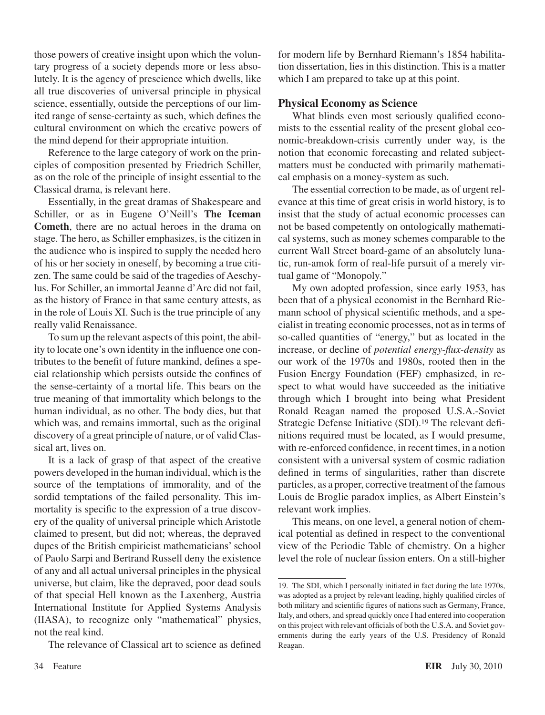those powers of creative insight upon which the voluntary progress of a society depends more or less absolutely. It is the agency of prescience which dwells, like all true discoveries of universal principle in physical science, essentially, outside the perceptions of our limited range of sense-certainty as such, which defines the cultural environment on which the creative powers of the mind depend for their appropriate intuition.

Reference to the large category of work on the principles of composition presented by Friedrich Schiller, as on the role of the principle of insight essential to the Classical drama, is relevant here.

Essentially, in the great dramas of Shakespeare and Schiller, or as in Eugene O'Neill's **The Iceman Cometh**, there are no actual heroes in the drama on stage. The hero, as Schiller emphasizes, is the citizen in the audience who is inspired to supply the needed hero of his or her society in oneself, by becoming a true citizen. The same could be said of the tragedies of Aeschylus. For Schiller, an immortal Jeanne d'Arc did not fail, as the history of France in that same century attests, as in the role of Louis XI. Such is the true principle of any really valid Renaissance.

To sum up the relevant aspects of this point, the ability to locate one's own identity in the influence one contributes to the benefit of future mankind, defines a special relationship which persists outside the confines of the sense-certainty of a mortal life. This bears on the true meaning of that immortality which belongs to the human individual, as no other. The body dies, but that which was, and remains immortal, such as the original discovery of a great principle of nature, or of valid Classical art, lives on.

It is a lack of grasp of that aspect of the creative powers developed in the human individual, which is the source of the temptations of immorality, and of the sordid temptations of the failed personality. This immortality is specific to the expression of a true discovery of the quality of universal principle which Aristotle claimed to present, but did not; whereas, the depraved dupes of the British empiricist mathematicians' school of Paolo Sarpi and Bertrand Russell deny the existence of any and all actual universal principles in the physical universe, but claim, like the depraved, poor dead souls of that special Hell known as the Laxenberg, Austria International Institute for Applied Systems Analysis (IIASA), to recognize only "mathematical" physics, not the real kind.

The relevance of Classical art to science as defined

for modern life by Bernhard Riemann's 1854 habilitation dissertation, lies in this distinction. This is a matter which I am prepared to take up at this point.

#### **Physical Economy as Science**

What blinds even most seriously qualified economists to the essential reality of the present global economic-breakdown-crisis currently under way, is the notion that economic forecasting and related subjectmatters must be conducted with primarily mathematical emphasis on a money-system as such.

The essential correction to be made, as of urgent relevance at this time of great crisis in world history, is to insist that the study of actual economic processes can not be based competently on ontologically mathematical systems, such as money schemes comparable to the current Wall Street board-game of an absolutely lunatic, run-amok form of real-life pursuit of a merely virtual game of "Monopoly."

My own adopted profession, since early 1953, has been that of a physical economist in the Bernhard Riemann school of physical scientific methods, and a specialist in treating economic processes, not as in terms of so-called quantities of "energy," but as located in the increase, or decline of *potential energy-flux-density* as our work of the 1970s and 1980s, rooted then in the Fusion Energy Foundation (FEF) emphasized, in respect to what would have succeeded as the initiative through which I brought into being what President Ronald Reagan named the proposed U.S.A.-Soviet Strategic Defense Initiative (SDI).19 The relevant definitions required must be located, as I would presume, with re-enforced confidence, in recent times, in a notion consistent with a universal system of cosmic radiation defined in terms of singularities, rather than discrete particles, as a proper, corrective treatment of the famous Louis de Broglie paradox implies, as Albert Einstein's relevant work implies.

This means, on one level, a general notion of chemical potential as defined in respect to the conventional view of the Periodic Table of chemistry. On a higher level the role of nuclear fission enters. On a still-higher

<sup>19.</sup> The SDI, which I personally initiated in fact during the late 1970s, was adopted as a project by relevant leading, highly qualified circles of both military and scientific figures of nations such as Germany, France, Italy, and others, and spread quickly once I had entered into cooperation on this project with relevant officials of both the U.S.A. and Soviet governments during the early years of the U.S. Presidency of Ronald Reagan.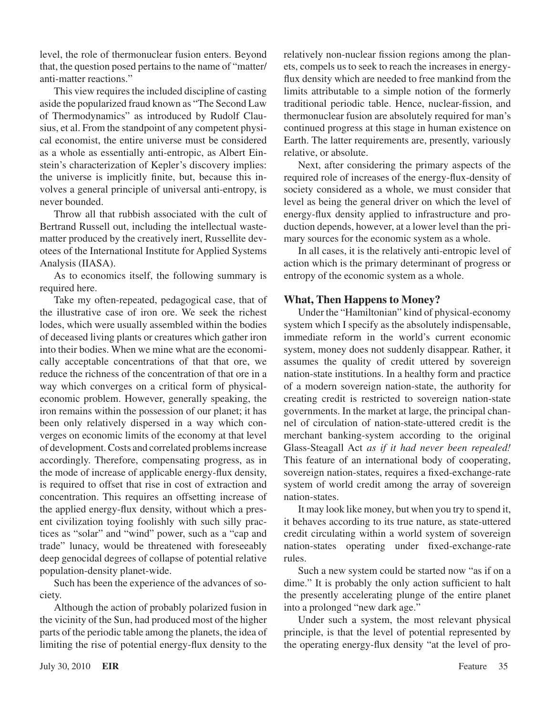level, the role of thermonuclear fusion enters. Beyond that, the question posed pertains to the name of "matter/ anti-matter reactions."

This view requires the included discipline of casting aside the popularized fraud known as "The Second Law of Thermodynamics" as introduced by Rudolf Clausius, et al. From the standpoint of any competent physical economist, the entire universe must be considered as a whole as essentially anti-entropic, as Albert Einstein's characterization of Kepler's discovery implies: the universe is implicitly finite, but, because this involves a general principle of universal anti-entropy, is never bounded.

Throw all that rubbish associated with the cult of Bertrand Russell out, including the intellectual wastematter produced by the creatively inert, Russellite devotees of the International Institute for Applied Systems Analysis (IIASA).

As to economics itself, the following summary is required here.

Take my often-repeated, pedagogical case, that of the illustrative case of iron ore. We seek the richest lodes, which were usually assembled within the bodies of deceased living plants or creatures which gather iron into their bodies. When we mine what are the economically acceptable concentrations of that that ore, we reduce the richness of the concentration of that ore in a way which converges on a critical form of physicaleconomic problem. However, generally speaking, the iron remains within the possession of our planet; it has been only relatively dispersed in a way which converges on economic limits of the economy at that level of development.Costs and correlated problemsincrease accordingly. Therefore, compensating progress, as in the mode of increase of applicable energy-flux density, is required to offset that rise in cost of extraction and concentration. This requires an offsetting increase of the applied energy-flux density, without which a present civilization toying foolishly with such silly practices as "solar" and "wind" power, such as a "cap and trade" lunacy, would be threatened with foreseeably deep genocidal degrees of collapse of potential relative population-density planet-wide.

Such has been the experience of the advances of society.

Although the action of probably polarized fusion in the vicinity of the Sun, had produced most of the higher parts of the periodic table among the planets, the idea of limiting the rise of potential energy-flux density to the relatively non-nuclear fission regions among the planets, compels us to seek to reach the increases in energyflux density which are needed to free mankind from the limits attributable to a simple notion of the formerly traditional periodic table. Hence, nuclear-fission, and thermonuclear fusion are absolutely required for man's continued progress at this stage in human existence on Earth. The latter requirements are, presently, variously relative, or absolute.

Next, after considering the primary aspects of the required role of increases of the energy-flux-density of society considered as a whole, we must consider that level as being the general driver on which the level of energy-flux density applied to infrastructure and production depends, however, at a lower level than the primary sources for the economic system as a whole.

In all cases, it is the relatively anti-entropic level of action which is the primary determinant of progress or entropy of the economic system as a whole.

#### **What, Then Happens to Money?**

Under the "Hamiltonian" kind of physical-economy system which I specify as the absolutely indispensable, immediate reform in the world's current economic system, money does not suddenly disappear. Rather, it assumes the quality of credit uttered by sovereign nation-state institutions. In a healthy form and practice of a modern sovereign nation-state, the authority for creating credit is restricted to sovereign nation-state governments. In the market at large, the principal channel of circulation of nation-state-uttered credit is the merchant banking-system according to the original Glass-Steagall Act *as if it had never been repealed!* This feature of an international body of cooperating, sovereign nation-states, requires a fixed-exchange-rate system of world credit among the array of sovereign nation-states.

It may look like money, but when you try to spend it, it behaves according to its true nature, as state-uttered credit circulating within a world system of sovereign nation-states operating under fixed-exchange-rate rules.

Such a new system could be started now "as if on a dime." It is probably the only action sufficient to halt the presently accelerating plunge of the entire planet into a prolonged "new dark age."

Under such a system, the most relevant physical principle, is that the level of potential represented by the operating energy-flux density "at the level of pro-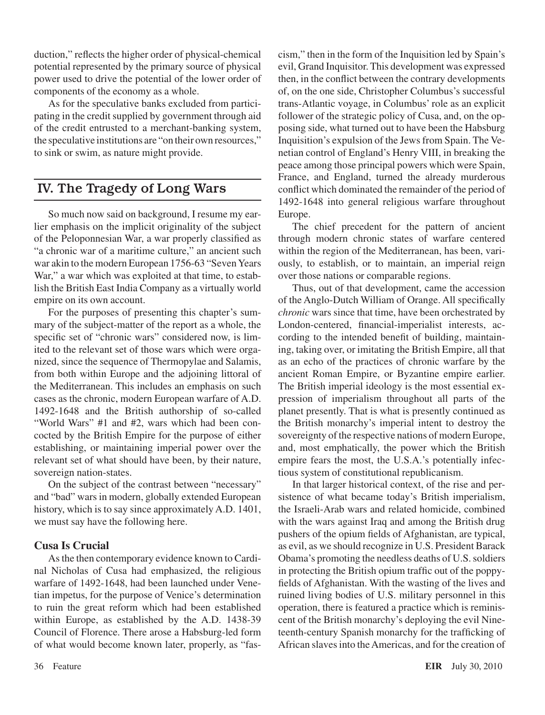duction," reflects the higher order of physical-chemical potential represented by the primary source of physical power used to drive the potential of the lower order of components of the economy as a whole.

As for the speculative banks excluded from participating in the credit supplied by government through aid of the credit entrusted to a merchant-banking system, the speculative institutions are "on their own resources," to sink or swim, as nature might provide.

## IV. The Tragedy of Long Wars

So much now said on background, I resume my earlier emphasis on the implicit originality of the subject of the Peloponnesian War, a war properly classified as "a chronic war of a maritime culture," an ancient such war akin to the modern European 1756-63 "Seven Years War," a war which was exploited at that time, to establish the British East India Company as a virtually world empire on its own account.

For the purposes of presenting this chapter's summary of the subject-matter of the report as a whole, the specific set of "chronic wars" considered now, is limited to the relevant set of those wars which were organized, since the sequence of Thermopylae and Salamis, from both within Europe and the adjoining littoral of the Mediterranean. This includes an emphasis on such cases as the chronic, modern European warfare of A.D. 1492-1648 and the British authorship of so-called "World Wars" #1 and #2, wars which had been concocted by the British Empire for the purpose of either establishing, or maintaining imperial power over the relevant set of what should have been, by their nature, sovereign nation-states.

On the subject of the contrast between "necessary" and "bad" wars in modern, globally extended European history, which is to say since approximately A.D. 1401, we must say have the following here.

#### **Cusa Is Crucial**

Asthe then contemporary evidence known to Cardinal Nicholas of Cusa had emphasized, the religious warfare of 1492-1648, had been launched under Venetian impetus, for the purpose of Venice's determination to ruin the great reform which had been established within Europe, as established by the A.D. 1438-39 Council of Florence. There arose a Habsburg-led form of what would become known later, properly, as "fas-

cism," then in the form of the Inquisition led by Spain's evil, Grand Inquisitor. This development was expressed then, in the conflict between the contrary developments of, on the one side, Christopher Columbus's successful trans-Atlantic voyage, in Columbus' role as an explicit follower of the strategic policy of Cusa, and, on the opposing side, what turned out to have been the Habsburg Inquisition's expulsion of the Jewsfrom Spain. The Venetian control of England's Henry VIII, in breaking the peace among those principal powers which were Spain, France, and England, turned the already murderous conflict which dominated the remainder of the period of 1492-1648 into general religious warfare throughout Europe.

The chief precedent for the pattern of ancient through modern chronic states of warfare centered within the region of the Mediterranean, has been, variously, to establish, or to maintain, an imperial reign over those nations or comparable regions.

Thus, out of that development, came the accession of the Anglo-Dutch William of Orange. All specifically *chronic* wars since that time, have been orchestrated by London-centered, financial-imperialist interests, according to the intended benefit of building, maintaining, taking over, or imitating the British Empire, all that as an echo of the practices of chronic warfare by the ancient Roman Empire, or Byzantine empire earlier. The British imperial ideology is the most essential expression of imperialism throughout all parts of the planet presently. That is what is presently continued as the British monarchy's imperial intent to destroy the sovereignty of the respective nations of modern Europe, and, most emphatically, the power which the British empire fears the most, the U.S.A.'s potentially infectious system of constitutional republicanism.

In that larger historical context, of the rise and persistence of what became today's British imperialism, the Israeli-Arab wars and related homicide, combined with the wars against Iraq and among the British drug pushers of the opium fields of Afghanistan, are typical, as evil, as we should recognize in U.S. President Barack Obama's promoting the needless deaths of U.S. soldiers in protecting the British opium traffic out of the poppyfields of Afghanistan. With the wasting of the lives and ruined living bodies of U.S. military personnel in this operation, there is featured a practice which is reminiscent of the British monarchy's deploying the evil Nineteenth-century Spanish monarchy for the trafficking of African slaves into the Americas, and for the creation of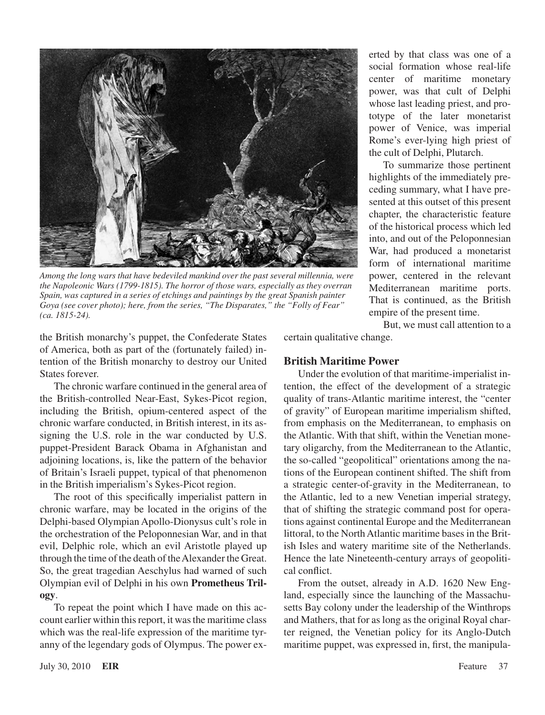

*Among the long wars that have bedeviled mankind over the past several millennia, were the Napoleonic Wars (1799-1815). The horror of those wars, especially as they overran Spain, was captured in a series of etchings and paintings by the great Spanish painter Goya (see cover photo); here, from the series, "The Disparates," the "Folly of Fear" (ca. 1815-24).*

the British monarchy's puppet, the Confederate States of America, both as part of the (fortunately failed) intention of the British monarchy to destroy our United States forever.

The chronic warfare continued in the general area of the British-controlled Near-East, Sykes-Picot region, including the British, opium-centered aspect of the chronic warfare conducted, in British interest, in its assigning the U.S. role in the war conducted by U.S. puppet-President Barack Obama in Afghanistan and adjoining locations, is, like the pattern of the behavior of Britain's Israeli puppet, typical of that phenomenon in the British imperialism's Sykes-Picot region.

The root of this specifically imperialist pattern in chronic warfare, may be located in the origins of the Delphi-based Olympian Apollo-Dionysus cult's role in the orchestration of the Peloponnesian War, and in that evil, Delphic role, which an evil Aristotle played up through the time of the death of the Alexander the Great. So, the great tragedian Aeschylus had warned of such Olympian evil of Delphi in his own **Prometheus Trilogy**.

To repeat the point which I have made on this account earlier within this report, it was the maritime class which was the real-life expression of the maritime tyranny of the legendary gods of Olympus. The power exerted by that class was one of a social formation whose real-life center of maritime monetary power, was that cult of Delphi whose last leading priest, and prototype of the later monetarist power of Venice, was imperial Rome's ever-lying high priest of the cult of Delphi, Plutarch.

To summarize those pertinent highlights of the immediately preceding summary, what I have presented at this outset of this present chapter, the characteristic feature of the historical process which led into, and out of the Peloponnesian War, had produced a monetarist form of international maritime power, centered in the relevant Mediterranean maritime ports. That is continued, as the British empire of the present time.

But, we must call attention to a certain qualitative change.

**British Maritime Power**

Under the evolution of that maritime-imperialist intention, the effect of the development of a strategic quality of trans-Atlantic maritime interest, the "center of gravity" of European maritime imperialism shifted, from emphasis on the Mediterranean, to emphasis on the Atlantic. With that shift, within the Venetian monetary oligarchy, from the Mediterranean to the Atlantic, the so-called "geopolitical" orientations among the nations of the European continent shifted. The shift from a strategic center-of-gravity in the Mediterranean, to the Atlantic, led to a new Venetian imperial strategy, that of shifting the strategic command post for operations against continental Europe and the Mediterranean littoral, to the North Atlantic maritime bases in the British Isles and watery maritime site of the Netherlands. Hence the late Nineteenth-century arrays of geopolitical conflict.

From the outset, already in A.D. 1620 New England, especially since the launching of the Massachusetts Bay colony under the leadership of the Winthrops and Mathers, that for as long as the original Royal charter reigned, the Venetian policy for its Anglo-Dutch maritime puppet, was expressed in, first, the manipula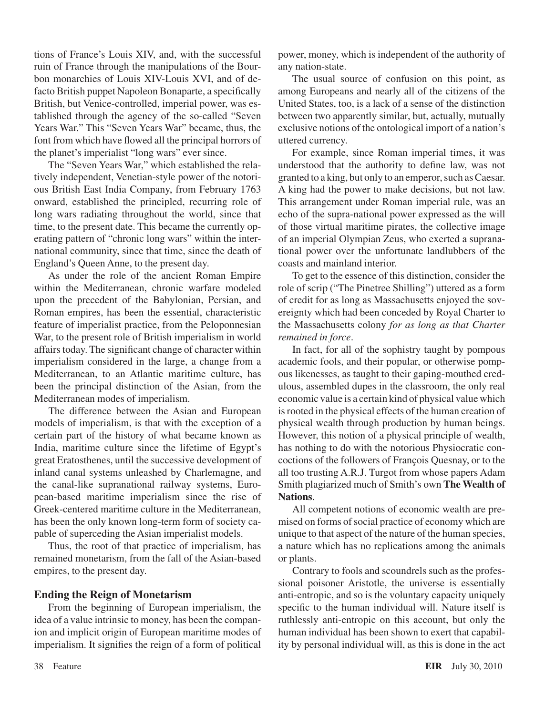tions of France's Louis XIV, and, with the successful ruin of France through the manipulations of the Bourbon monarchies of Louis XIV-Louis XVI, and of defacto British puppet Napoleon Bonaparte, a specifically British, but Venice-controlled, imperial power, was established through the agency of the so-called "Seven Years War." This "Seven Years War" became, thus, the font from which have flowed all the principal horrors of the planet's imperialist "long wars" ever since.

The "Seven Years War," which established the relatively independent, Venetian-style power of the notorious British East India Company, from February 1763 onward, established the principled, recurring role of long wars radiating throughout the world, since that time, to the present date. This became the currently operating pattern of "chronic long wars" within the international community, since that time, since the death of England's Queen Anne, to the present day.

As under the role of the ancient Roman Empire within the Mediterranean, chronic warfare modeled upon the precedent of the Babylonian, Persian, and Roman empires, has been the essential, characteristic feature of imperialist practice, from the Peloponnesian War, to the present role of British imperialism in world affairs today. The significant change of character within imperialism considered in the large, a change from a Mediterranean, to an Atlantic maritime culture, has been the principal distinction of the Asian, from the Mediterranean modes of imperialism.

The difference between the Asian and European models of imperialism, is that with the exception of a certain part of the history of what became known as India, maritime culture since the lifetime of Egypt's great Eratosthenes, until the successive development of inland canal systems unleashed by Charlemagne, and the canal-like supranational railway systems, European-based maritime imperialism since the rise of Greek-centered maritime culture in the Mediterranean, has been the only known long-term form of society capable of superceding the Asian imperialist models.

Thus, the root of that practice of imperialism, has remained monetarism, from the fall of the Asian-based empires, to the present day.

#### **Ending the Reign of Monetarism**

From the beginning of European imperialism, the idea of a value intrinsic to money, has been the companion and implicit origin of European maritime modes of imperialism. It signifies the reign of a form of political power, money, which is independent of the authority of any nation-state.

The usual source of confusion on this point, as among Europeans and nearly all of the citizens of the United States, too, is a lack of a sense of the distinction between two apparently similar, but, actually, mutually exclusive notions of the ontological import of a nation's uttered currency.

For example, since Roman imperial times, it was understood that the authority to define law, was not granted to a king, but only to an emperor, such as Caesar. A king had the power to make decisions, but not law. This arrangement under Roman imperial rule, was an echo of the supra-national power expressed as the will of those virtual maritime pirates, the collective image of an imperial Olympian Zeus, who exerted a supranational power over the unfortunate landlubbers of the coasts and mainland interior.

To get to the essence of this distinction, consider the role of scrip ("The Pinetree Shilling") uttered as a form of credit for as long as Massachusetts enjoyed the sovereignty which had been conceded by Royal Charter to the Massachusetts colony *for as long as that Charter remained in force*.

In fact, for all of the sophistry taught by pompous academic fools, and their popular, or otherwise pompous likenesses, as taught to their gaping-mouthed credulous, assembled dupes in the classroom, the only real economic value is a certain kind of physical value which is rooted in the physical effects of the human creation of physical wealth through production by human beings. However, this notion of a physical principle of wealth, has nothing to do with the notorious Physiocratic concoctions of the followers of François Quesnay, or to the all too trusting A.R.J. Turgot from whose papers Adam Smith plagiarized much of Smith's own **The Wealth of Nations**.

All competent notions of economic wealth are premised on forms of social practice of economy which are unique to that aspect of the nature of the human species, a nature which has no replications among the animals or plants.

Contrary to fools and scoundrels such as the professional poisoner Aristotle, the universe is essentially anti-entropic, and so is the voluntary capacity uniquely specific to the human individual will. Nature itself is ruthlessly anti-entropic on this account, but only the human individual has been shown to exert that capability by personal individual will, as this is done in the act